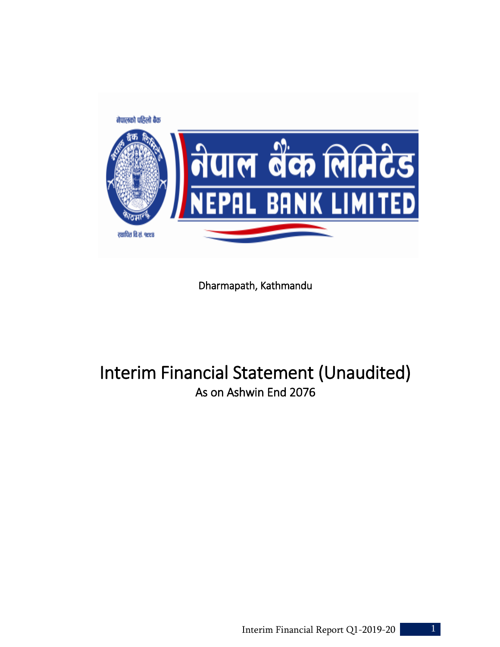

Dharmapath, Kathmandu

# Interim Financial Statement (Unaudited) As on Ashwin End 2076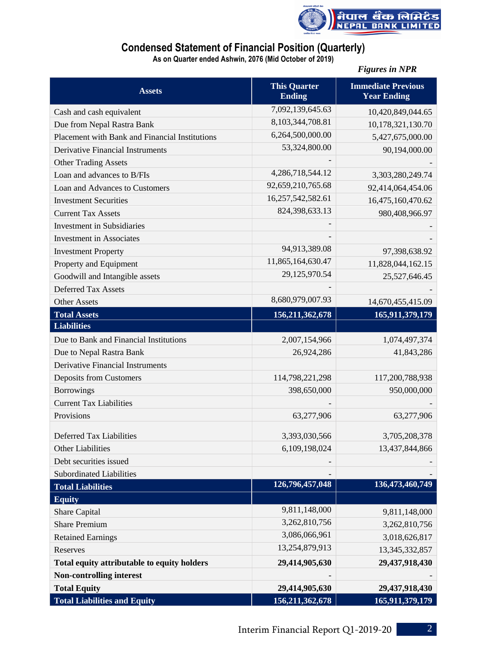

# **Condensed Statement of Financial Position (Quarterly)**

**As on Quarter ended Ashwin, 2076 (Mid October of 2019)**

|                                                    |                                      | <b>Figures in NPR</b>                           |
|----------------------------------------------------|--------------------------------------|-------------------------------------------------|
| <b>Assets</b>                                      | <b>This Quarter</b><br><b>Ending</b> | <b>Immediate Previous</b><br><b>Year Ending</b> |
| Cash and cash equivalent                           | 7,092,139,645.63                     | 10,420,849,044.65                               |
| Due from Nepal Rastra Bank                         | 8,103,344,708.81                     | 10,178,321,130.70                               |
| Placement with Bank and Financial Institutions     | 6,264,500,000.00                     | 5,427,675,000.00                                |
| <b>Derivative Financial Instruments</b>            | 53,324,800.00                        | 90,194,000.00                                   |
| <b>Other Trading Assets</b>                        |                                      |                                                 |
| Loan and advances to B/FIs                         | 4,286,718,544.12                     | 3,303,280,249.74                                |
| Loan and Advances to Customers                     | 92,659,210,765.68                    | 92,414,064,454.06                               |
| <b>Investment Securities</b>                       | 16,257,542,582.61                    | 16,475,160,470.62                               |
| <b>Current Tax Assets</b>                          | 824,398,633.13                       | 980,408,966.97                                  |
| <b>Investment in Subsidiaries</b>                  |                                      |                                                 |
| <b>Investment</b> in Associates                    |                                      |                                                 |
| <b>Investment Property</b>                         | 94,913,389.08                        | 97,398,638.92                                   |
| Property and Equipment                             | 11,865,164,630.47                    | 11,828,044,162.15                               |
| Goodwill and Intangible assets                     | 29,125,970.54                        | 25,527,646.45                                   |
| <b>Deferred Tax Assets</b>                         |                                      |                                                 |
| <b>Other Assets</b>                                | 8,680,979,007.93                     | 14,670,455,415.09                               |
| <b>Total Assets</b>                                | 156,211,362,678                      | 165,911,379,179                                 |
| <b>Liabilities</b>                                 |                                      |                                                 |
| Due to Bank and Financial Institutions             | 2,007,154,966                        | 1,074,497,374                                   |
| Due to Nepal Rastra Bank                           | 26,924,286                           | 41,843,286                                      |
| <b>Derivative Financial Instruments</b>            |                                      |                                                 |
| <b>Deposits from Customers</b>                     | 114,798,221,298                      | 117,200,788,938                                 |
| <b>Borrowings</b>                                  | 398,650,000                          | 950,000,000                                     |
| <b>Current Tax Liabilities</b>                     |                                      |                                                 |
| Provisions                                         | 63,277,906                           | 63,277,906                                      |
|                                                    |                                      |                                                 |
| <b>Deferred Tax Liabilities</b>                    | 3,393,030,566                        | 3,705,208,378                                   |
| <b>Other Liabilities</b><br>Debt securities issued | 6,109,198,024                        | 13,437,844,866                                  |
|                                                    |                                      |                                                 |
| <b>Subordinated Liabilities</b>                    | 126,796,457,048                      | 136,473,460,749                                 |
| <b>Total Liabilities</b>                           |                                      |                                                 |
| <b>Equity</b><br>Share Capital                     | 9,811,148,000                        | 9,811,148,000                                   |
| <b>Share Premium</b>                               | 3,262,810,756                        |                                                 |
| <b>Retained Earnings</b>                           | 3,086,066,961                        | 3,262,810,756<br>3,018,626,817                  |
| Reserves                                           | 13,254,879,913                       | 13, 345, 332, 857                               |
| Total equity attributable to equity holders        | 29,414,905,630                       | 29,437,918,430                                  |
| <b>Non-controlling interest</b>                    |                                      |                                                 |
| <b>Total Equity</b>                                | 29,414,905,630                       | 29,437,918,430                                  |
| <b>Total Liabilities and Equity</b>                | 156,211,362,678                      | 165,911,379,179                                 |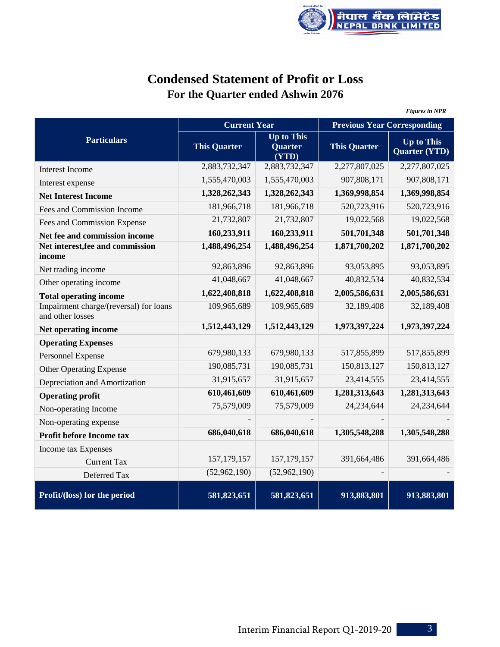

# **Condensed Statement of Profit or Loss For the Quarter ended Ashwin 2076**

|                                                            |                     |                                              |                                    | <b>Figures in NPR</b>                     |
|------------------------------------------------------------|---------------------|----------------------------------------------|------------------------------------|-------------------------------------------|
|                                                            | <b>Current Year</b> |                                              | <b>Previous Year Corresponding</b> |                                           |
| <b>Particulars</b>                                         | <b>This Quarter</b> | <b>Up to This</b><br><b>Quarter</b><br>(YTD) | <b>This Quarter</b>                | <b>Up to This</b><br><b>Quarter (YTD)</b> |
| <b>Interest Income</b>                                     | 2,883,732,347       | 2,883,732,347                                | 2,277,807,025                      | 2,277,807,025                             |
| Interest expense                                           | 1,555,470,003       | 1,555,470,003                                | 907,808,171                        | 907,808,171                               |
| <b>Net Interest Income</b>                                 | 1,328,262,343       | 1,328,262,343                                | 1,369,998,854                      | 1,369,998,854                             |
| Fees and Commission Income                                 | 181,966,718         | 181,966,718                                  | 520,723,916                        | 520,723,916                               |
| Fees and Commission Expense                                | 21,732,807          | 21,732,807                                   | 19,022,568                         | 19,022,568                                |
| Net fee and commission income                              | 160,233,911         | 160,233,911                                  | 501,701,348                        | 501,701,348                               |
| Net interest, fee and commission<br>income                 | 1,488,496,254       | 1,488,496,254                                | 1,871,700,202                      | 1,871,700,202                             |
| Net trading income                                         | 92,863,896          | 92,863,896                                   | 93,053,895                         | 93,053,895                                |
| Other operating income                                     | 41,048,667          | 41,048,667                                   | 40,832,534                         | 40,832,534                                |
| <b>Total operating income</b>                              | 1,622,408,818       | 1,622,408,818                                | 2,005,586,631                      | 2,005,586,631                             |
| Impairment charge/(reversal) for loans<br>and other losses | 109,965,689         | 109,965,689                                  | 32,189,408                         | 32,189,408                                |
| Net operating income                                       | 1,512,443,129       | 1,512,443,129                                | 1,973,397,224                      | 1,973,397,224                             |
| <b>Operating Expenses</b>                                  |                     |                                              |                                    |                                           |
| Personnel Expense                                          | 679,980,133         | 679,980,133                                  | 517,855,899                        | 517,855,899                               |
| Other Operating Expense                                    | 190,085,731         | 190,085,731                                  | 150,813,127                        | 150,813,127                               |
| Depreciation and Amortization                              | 31,915,657          | 31,915,657                                   | 23,414,555                         | 23,414,555                                |
| <b>Operating profit</b>                                    | 610,461,609         | 610,461,609                                  | 1,281,313,643                      | 1,281,313,643                             |
| Non-operating Income                                       | 75,579,009          | 75,579,009                                   | 24,234,644                         | 24,234,644                                |
| Non-operating expense                                      |                     |                                              |                                    |                                           |
| Profit before Income tax                                   | 686,040,618         | 686,040,618                                  | 1,305,548,288                      | 1,305,548,288                             |
| Income tax Expenses                                        |                     |                                              |                                    |                                           |
| <b>Current Tax</b>                                         | 157, 179, 157       | 157, 179, 157                                | 391,664,486                        | 391,664,486                               |
| Deferred Tax                                               | (52,962,190)        | (52,962,190)                                 |                                    |                                           |
| Profit/(loss) for the period                               | 581,823,651         | 581,823,651                                  | 913,883,801                        | 913,883,801                               |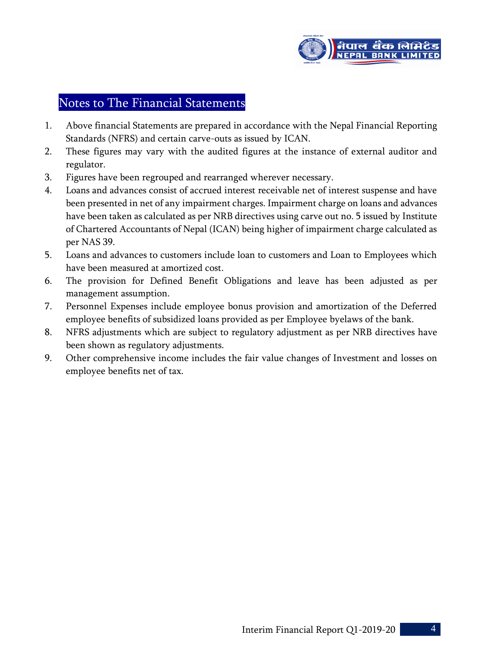

# Notes to The Financial Statements

- 1. Above financial Statements are prepared in accordance with the Nepal Financial Reporting Standards (NFRS) and certain carve-outs as issued by ICAN.
- 2. These figures may vary with the audited figures at the instance of external auditor and regulator.
- 3. Figures have been regrouped and rearranged wherever necessary.
- 4. Loans and advances consist of accrued interest receivable net of interest suspense and have been presented in net of any impairment charges. Impairment charge on loans and advances have been taken as calculated as per NRB directives using carve out no. 5 issued by Institute of Chartered Accountants of Nepal (ICAN) being higher of impairment charge calculated as per NAS 39.
- 5. Loans and advances to customers include loan to customers and Loan to Employees which have been measured at amortized cost.
- 6. The provision for Defined Benefit Obligations and leave has been adjusted as per management assumption.
- 7. Personnel Expenses include employee bonus provision and amortization of the Deferred employee benefits of subsidized loans provided as per Employee byelaws of the bank.
- 8. NFRS adjustments which are subject to regulatory adjustment as per NRB directives have been shown as regulatory adjustments.
- 9. Other comprehensive income includes the fair value changes of Investment and losses on employee benefits net of tax.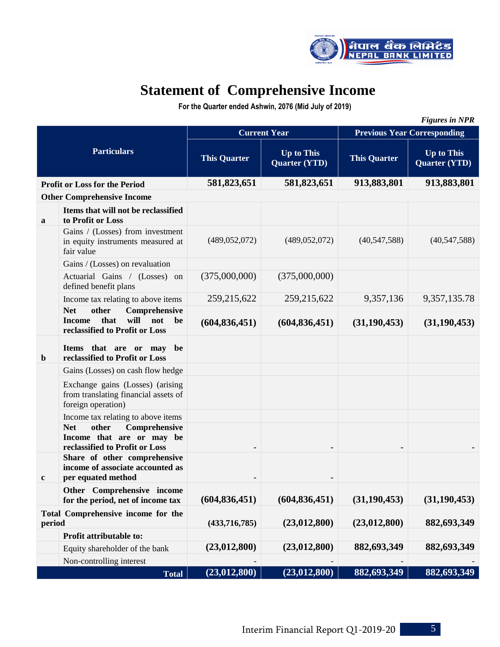

# **Statement of Comprehensive Income**

 **For the Quarter ended Ashwin, 2076 (Mid July of 2019)**

|                    |                                                                                                                      |                     |                                           |                                    | <b>Figures in NPR</b>                     |  |
|--------------------|----------------------------------------------------------------------------------------------------------------------|---------------------|-------------------------------------------|------------------------------------|-------------------------------------------|--|
| <b>Particulars</b> |                                                                                                                      |                     | <b>Current Year</b>                       | <b>Previous Year Corresponding</b> |                                           |  |
|                    |                                                                                                                      | <b>This Quarter</b> | <b>Up to This</b><br><b>Quarter (YTD)</b> | <b>This Quarter</b>                | <b>Up to This</b><br><b>Quarter (YTD)</b> |  |
|                    | <b>Profit or Loss for the Period</b>                                                                                 | 581,823,651         | 581,823,651                               | 913,883,801                        | 913,883,801                               |  |
|                    | <b>Other Comprehensive Income</b>                                                                                    |                     |                                           |                                    |                                           |  |
| a                  | Items that will not be reclassified<br>to Profit or Loss                                                             |                     |                                           |                                    |                                           |  |
|                    | Gains / (Losses) from investment<br>in equity instruments measured at<br>fair value                                  | (489, 052, 072)     | (489, 052, 072)                           | (40, 547, 588)                     | (40, 547, 588)                            |  |
|                    | Gains / (Losses) on revaluation                                                                                      |                     |                                           |                                    |                                           |  |
|                    | Actuarial Gains / (Losses) on<br>defined benefit plans                                                               | (375,000,000)       | (375,000,000)                             |                                    |                                           |  |
|                    | Income tax relating to above items                                                                                   | 259, 215, 622       | 259, 215, 622                             | 9,357,136                          | 9,357,135.78                              |  |
|                    | <b>Net</b><br>other<br>Comprehensive<br>that<br>will<br><b>Income</b><br>not<br>be<br>reclassified to Profit or Loss | (604, 836, 451)     | (604, 836, 451)                           | (31, 190, 453)                     | (31, 190, 453)                            |  |
| b                  | Items that are or may<br>be<br>reclassified to Profit or Loss                                                        |                     |                                           |                                    |                                           |  |
|                    | Gains (Losses) on cash flow hedge                                                                                    |                     |                                           |                                    |                                           |  |
|                    | Exchange gains (Losses) (arising<br>from translating financial assets of<br>foreign operation)                       |                     |                                           |                                    |                                           |  |
|                    | Income tax relating to above items                                                                                   |                     |                                           |                                    |                                           |  |
|                    | other<br>Comprehensive<br><b>Net</b><br>Income that are or may be<br>reclassified to Profit or Loss                  | $\blacksquare$      |                                           |                                    |                                           |  |
| c                  | Share of other comprehensive<br>income of associate accounted as<br>per equated method                               |                     |                                           |                                    |                                           |  |
|                    | Other Comprehensive income<br>for the period, net of income tax                                                      | (604, 836, 451)     | (604, 836, 451)                           | (31, 190, 453)                     | (31, 190, 453)                            |  |
| period             | Total Comprehensive income for the                                                                                   | (433,716,785)       | (23,012,800)                              | (23,012,800)                       | 882,693,349                               |  |
|                    | Profit attributable to:                                                                                              |                     |                                           |                                    |                                           |  |
|                    | Equity shareholder of the bank                                                                                       | (23,012,800)        | (23,012,800)                              | 882,693,349                        | 882,693,349                               |  |
|                    | Non-controlling interest                                                                                             |                     |                                           |                                    |                                           |  |
|                    | <b>Total</b>                                                                                                         | (23, 012, 800)      | (23, 012, 800)                            | 882,693,349                        | 882,693,349                               |  |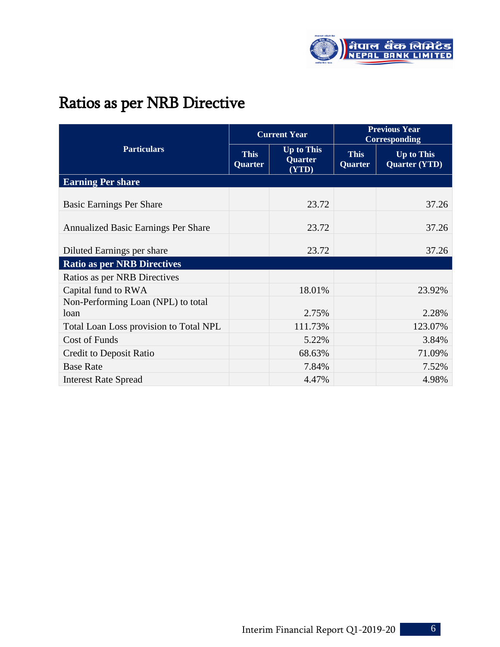

# Ratios as per NRB Directive

|                                            |                               | <b>Current Year</b>                          | <b>Previous Year</b><br><b>Corresponding</b> |                                           |  |
|--------------------------------------------|-------------------------------|----------------------------------------------|----------------------------------------------|-------------------------------------------|--|
| <b>Particulars</b>                         | <b>This</b><br><b>Quarter</b> | <b>Up to This</b><br><b>Quarter</b><br>(YTD) | <b>This</b><br><b>Quarter</b>                | <b>Up to This</b><br><b>Quarter (YTD)</b> |  |
| <b>Earning Per share</b>                   |                               |                                              |                                              |                                           |  |
| <b>Basic Earnings Per Share</b>            |                               | 23.72                                        |                                              | 37.26                                     |  |
| Annualized Basic Earnings Per Share        |                               | 23.72                                        |                                              | 37.26                                     |  |
| Diluted Earnings per share                 |                               | 23.72                                        |                                              | 37.26                                     |  |
| <b>Ratio as per NRB Directives</b>         |                               |                                              |                                              |                                           |  |
| Ratios as per NRB Directives               |                               |                                              |                                              |                                           |  |
| Capital fund to RWA                        |                               | 18.01%                                       |                                              | 23.92%                                    |  |
| Non-Performing Loan (NPL) to total<br>loan |                               | 2.75%                                        |                                              | 2.28%                                     |  |
| Total Loan Loss provision to Total NPL     |                               | 111.73%                                      |                                              | 123.07%                                   |  |
| <b>Cost of Funds</b>                       |                               | 5.22%                                        |                                              | 3.84%                                     |  |
| Credit to Deposit Ratio                    |                               | 68.63%                                       |                                              | 71.09%                                    |  |
| <b>Base Rate</b>                           |                               | 7.84%                                        |                                              | 7.52%                                     |  |
| <b>Interest Rate Spread</b>                |                               | 4.47%                                        |                                              | 4.98%                                     |  |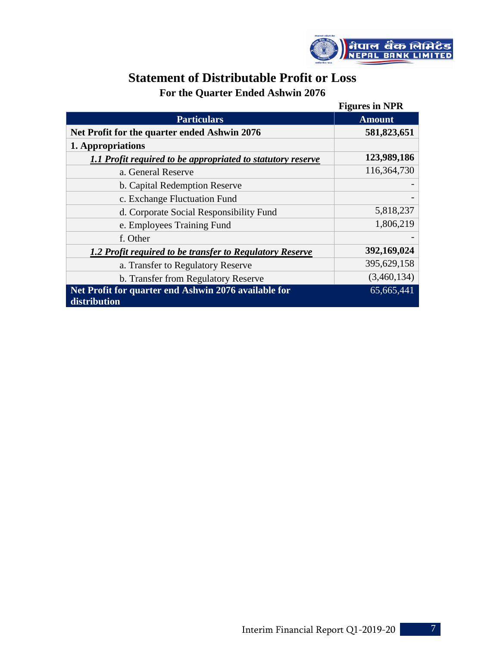

# **Statement of Distributable Profit or Loss**

**For the Quarter Ended Ashwin 2076**

|                                                             | <b>Figures in NPR</b> |
|-------------------------------------------------------------|-----------------------|
| <b>Particulars</b>                                          | <b>Amount</b>         |
| Net Profit for the quarter ended Ashwin 2076                | 581,823,651           |
| 1. Appropriations                                           |                       |
| 1.1 Profit required to be appropriated to statutory reserve | 123,989,186           |
| a. General Reserve                                          | 116,364,730           |
| b. Capital Redemption Reserve                               |                       |
| c. Exchange Fluctuation Fund                                |                       |
| d. Corporate Social Responsibility Fund                     | 5,818,237             |
| e. Employees Training Fund                                  | 1,806,219             |
| f. Other                                                    |                       |
| 1.2 Profit required to be transfer to Regulatory Reserve    | 392,169,024           |
| a. Transfer to Regulatory Reserve                           | 395,629,158           |
| b. Transfer from Regulatory Reserve                         | (3,460,134)           |
| Net Profit for quarter end Ashwin 2076 available for        | 65,665,441            |
| distribution                                                |                       |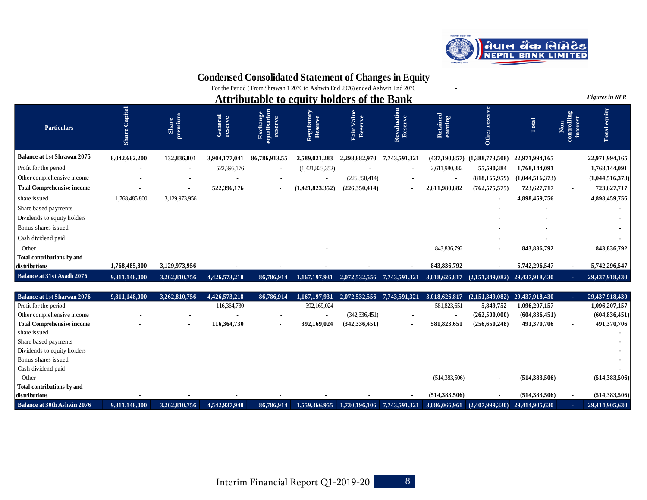

# **Condensed Consolidated Statement of Changes in Equity**

For the Period ( From Shrawan 1 2076 to Ashwin End 2076) ended Ashwin End 2076 -

| <b>Attributable to equity holders of the Bank</b>  |                  |                          |                    |                                                 |                       |                               | <b>Figures in NPR</b>    |                     |                 |                 |                                 |                 |
|----------------------------------------------------|------------------|--------------------------|--------------------|-------------------------------------------------|-----------------------|-------------------------------|--------------------------|---------------------|-----------------|-----------------|---------------------------------|-----------------|
| <b>Particulars</b>                                 | Capital<br>Share | premium<br>Sha           | General<br>reserve | <b>Exchange</b><br>equalisation<br>$\mathbf{E}$ | Regulatory<br>Reserve | Value<br>Fair Valu<br>Reserve | Revaluation<br>Reserve   | Retained<br>earning | Other           | Total           | Non-<br>controlling<br>interest | Total equity    |
| <b>Balance at 1st Shrawan 2075</b>                 | 8,042,662,200    | 132,836,801              | 3,904,177,041      | 86,786,913.55                                   | 2,589,021,283         | 2,298,882,970                 | 7,743,591,321            | (437, 190, 857)     | (1,388,773,508) | 22,971,994,165  |                                 | 22,971,994,165  |
| Profit for the period                              |                  | $\overline{\phantom{a}}$ | 522,396,176        | $\sim$                                          | (1,421,823,352)       |                               | $\overline{\phantom{a}}$ | 2,611,980,882       | 55,590,384      | 1,768,144,091   |                                 | 1,768,144,091   |
| Other comprehensive income                         |                  |                          |                    |                                                 |                       | (226, 350, 414)               |                          |                     | (818, 165, 959) | (1,044,516,373) |                                 | (1,044,516,373) |
| <b>Total Comprehensive income</b>                  |                  | $\blacksquare$           | 522,396,176        | $\blacksquare$                                  | (1,421,823,352)       | (226,350,414)                 |                          | 2,611,980,882       | (762, 575, 575) | 723,627,717     |                                 | 723,627,717     |
| share issued                                       | 1,768,485,800    | 3,129,973,956            |                    |                                                 |                       |                               |                          |                     | $\blacksquare$  | 4,898,459,756   |                                 | 4,898,459,756   |
| Share based payments                               |                  |                          |                    |                                                 |                       |                               |                          |                     |                 |                 |                                 |                 |
| Dividends to equity holders                        |                  |                          |                    |                                                 |                       |                               |                          |                     |                 |                 |                                 |                 |
| Bonus shares issued                                |                  |                          |                    |                                                 |                       |                               |                          |                     |                 |                 |                                 |                 |
| Cash dividend paid                                 |                  |                          |                    |                                                 |                       |                               |                          |                     |                 |                 |                                 |                 |
| Other                                              |                  |                          |                    |                                                 |                       |                               |                          | 843, 836, 792       | $\blacksquare$  | 843,836,792     |                                 | 843,836,792     |
| <b>Total contributions by and</b><br>distributions | 1,768,485,800    | 3,129,973,956            |                    |                                                 |                       |                               |                          | 843,836,792         |                 | 5,742,296,547   |                                 | 5,742,296,547   |
| <b>Balance at 31st Asadh 2076</b>                  | 9,811,148,000    | 3,262,810,756            | 4,426,573,218      | 86,786,914                                      | 1,167,197,931         | 2,072,532,556                 | 7,743,591,321            | 3,018,626,817       | (2,151,349,082) | 29,437,918,430  |                                 | 29,437,918,430  |

| <b>Balance at 1st Sharwan 2076</b> | 9,811,148,000 | 3,262,810,756  | 4,426,573,218 | 86,786,914               | 1.167.197.931 | 2.072.532.556            |                          | 3.018.626.817   | (2,151,349,082)                    | 29.437.918.430  |                | 29,437,918,430  |
|------------------------------------|---------------|----------------|---------------|--------------------------|---------------|--------------------------|--------------------------|-----------------|------------------------------------|-----------------|----------------|-----------------|
| Profit for the period              |               |                | 116,364,730   | $\overline{\phantom{a}}$ | 392,169,024   | $\overline{\phantom{a}}$ | $\overline{\phantom{0}}$ | 581,823,651     | 5,849,752                          | 1,096,207,157   |                | 1,096,207,157   |
| Other comprehensive income         |               |                |               | ٠                        |               | (342, 336, 451)          | ٠                        |                 | (262,500,000)                      | (604, 836, 451) |                | (604, 836, 451) |
| <b>Total Comprehensive income</b>  |               | $\blacksquare$ | 116,364,730   | $\overline{\phantom{a}}$ | 392,169,024   | (342, 336, 451)          |                          | 581,823,651     | (256, 650, 248)                    | 491,370,706     | $\blacksquare$ | 491,370,706     |
| share issued                       |               |                |               |                          |               |                          |                          |                 |                                    |                 |                |                 |
| Share based payments               |               |                |               |                          |               |                          |                          |                 |                                    |                 |                |                 |
| Dividends to equity holders        |               |                |               |                          |               |                          |                          |                 |                                    |                 |                |                 |
| Bonus shares issued                |               |                |               |                          |               |                          |                          |                 |                                    |                 |                |                 |
| Cash dividend paid                 |               |                |               |                          |               |                          |                          |                 |                                    |                 |                |                 |
| Other                              |               |                |               |                          |               |                          |                          | (514, 383, 506) | $\blacksquare$                     | (514,383,506)   |                | (514, 383, 506) |
| Total contributions by and         |               |                |               |                          |               |                          |                          |                 |                                    |                 |                |                 |
| distributions                      |               |                |               |                          |               |                          |                          | (514, 383, 506) |                                    | (514,383,506)   |                | (514, 383, 506) |
| <b>Balance at 30th Ashwin 2076</b> | 9.811.148.000 | 3.262.810.756  | 4,542,937,948 | 86,786,914               | 1.559.366.955 | 1.730.196.106            | 7.743.591.321            | 3.086.066.961   | $(2.407.999.330)$ $29.414.905.630$ |                 |                | 29,414,905,630  |

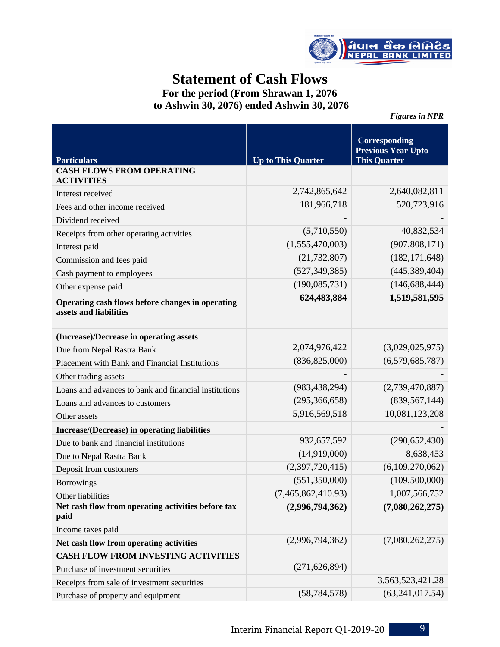

# **Statement of Cash Flows**

**For the period (From Shrawan 1, 2076 to Ashwin 30, 2076) ended Ashwin 30, 2076**

*Figures in NPR* 

| <b>Particulars</b>                                                         | <b>Up to This Quarter</b> | <b>Corresponding</b><br><b>Previous Year Upto</b><br><b>This Quarter</b> |
|----------------------------------------------------------------------------|---------------------------|--------------------------------------------------------------------------|
| <b>CASH FLOWS FROM OPERATING</b><br><b>ACTIVITIES</b>                      |                           |                                                                          |
| Interest received                                                          | 2,742,865,642             | 2,640,082,811                                                            |
| Fees and other income received                                             | 181,966,718               | 520,723,916                                                              |
| Dividend received                                                          |                           |                                                                          |
| Receipts from other operating activities                                   | (5,710,550)               | 40,832,534                                                               |
| Interest paid                                                              | (1,555,470,003)           | (907, 808, 171)                                                          |
| Commission and fees paid                                                   | (21, 732, 807)            | (182, 171, 648)                                                          |
| Cash payment to employees                                                  | (527, 349, 385)           | (445, 389, 404)                                                          |
| Other expense paid                                                         | (190,085,731)             | (146, 688, 444)                                                          |
| Operating cash flows before changes in operating<br>assets and liabilities | 624,483,884               | 1,519,581,595                                                            |
|                                                                            |                           |                                                                          |
| (Increase)/Decrease in operating assets                                    |                           |                                                                          |
| Due from Nepal Rastra Bank                                                 | 2,074,976,422             | (3,029,025,975)                                                          |
| Placement with Bank and Financial Institutions                             | (836, 825, 000)           | (6,579,685,787)                                                          |
| Other trading assets                                                       |                           |                                                                          |
| Loans and advances to bank and financial institutions                      | (983, 438, 294)           | (2,739,470,887)                                                          |
| Loans and advances to customers                                            | (295, 366, 658)           | (839, 567, 144)                                                          |
| Other assets                                                               | 5,916,569,518             | 10,081,123,208                                                           |
| Increase/(Decrease) in operating liabilities                               |                           |                                                                          |
| Due to bank and financial institutions                                     | 932,657,592               | (290, 652, 430)                                                          |
| Due to Nepal Rastra Bank                                                   | (14,919,000)              | 8,638,453                                                                |
| Deposit from customers                                                     | (2,397,720,415)           | (6,109,270,062)                                                          |
| <b>Borrowings</b>                                                          | (551, 350, 000)           | (109, 500, 000)                                                          |
| Other liabilities                                                          | (7,465,862,410.93)        | 1,007,566,752                                                            |
| Net cash flow from operating activities before tax<br>paid                 | (2,996,794,362)           | (7,080,262,275)                                                          |
| Income taxes paid                                                          |                           |                                                                          |
| Net cash flow from operating activities                                    | (2,996,794,362)           | (7,080,262,275)                                                          |
| <b>CASH FLOW FROM INVESTING ACTIVITIES</b>                                 |                           |                                                                          |
| Purchase of investment securities                                          | (271, 626, 894)           |                                                                          |
| Receipts from sale of investment securities                                |                           | 3,563,523,421.28                                                         |
| Purchase of property and equipment                                         | (58, 784, 578)            | (63, 241, 017.54)                                                        |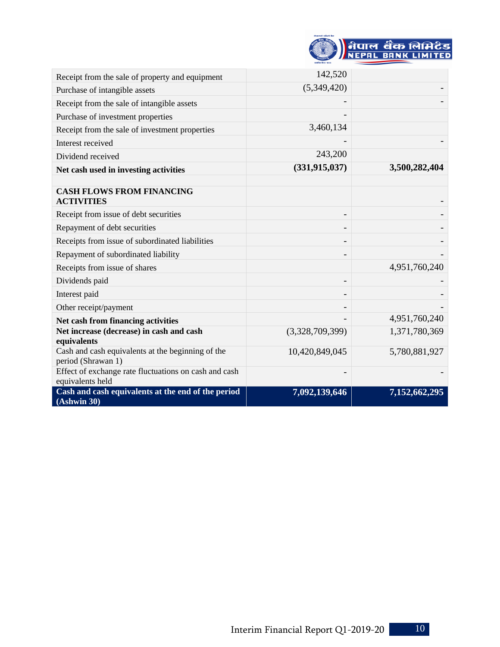| बेपालको प्रतिलो बैक |                          |
|---------------------|--------------------------|
|                     |                          |
|                     | नेपाल बँक लिमिटेड        |
|                     | <b>EPAL BANK LIMITED</b> |
| रखाधित वि.सं. ९९९४  |                          |

| Receipt from the sale of property and equipment                           | 142,520         |               |
|---------------------------------------------------------------------------|-----------------|---------------|
| Purchase of intangible assets                                             | (5,349,420)     |               |
| Receipt from the sale of intangible assets                                |                 |               |
| Purchase of investment properties                                         |                 |               |
| Receipt from the sale of investment properties                            | 3,460,134       |               |
| Interest received                                                         |                 |               |
| Dividend received                                                         | 243,200         |               |
| Net cash used in investing activities                                     | (331, 915, 037) | 3,500,282,404 |
|                                                                           |                 |               |
| <b>CASH FLOWS FROM FINANCING</b><br><b>ACTIVITIES</b>                     |                 |               |
| Receipt from issue of debt securities                                     |                 |               |
| Repayment of debt securities                                              |                 |               |
| Receipts from issue of subordinated liabilities                           |                 |               |
| Repayment of subordinated liability                                       |                 |               |
| Receipts from issue of shares                                             |                 | 4,951,760,240 |
| Dividends paid                                                            |                 |               |
| Interest paid                                                             |                 |               |
| Other receipt/payment                                                     |                 |               |
| Net cash from financing activities                                        |                 | 4,951,760,240 |
| Net increase (decrease) in cash and cash<br>equivalents                   | (3,328,709,399) | 1,371,780,369 |
| Cash and cash equivalents at the beginning of the<br>period (Shrawan 1)   | 10,420,849,045  | 5,780,881,927 |
| Effect of exchange rate fluctuations on cash and cash<br>equivalents held |                 |               |
| Cash and cash equivalents at the end of the period<br>(Ashwin 30)         | 7,092,139,646   | 7,152,662,295 |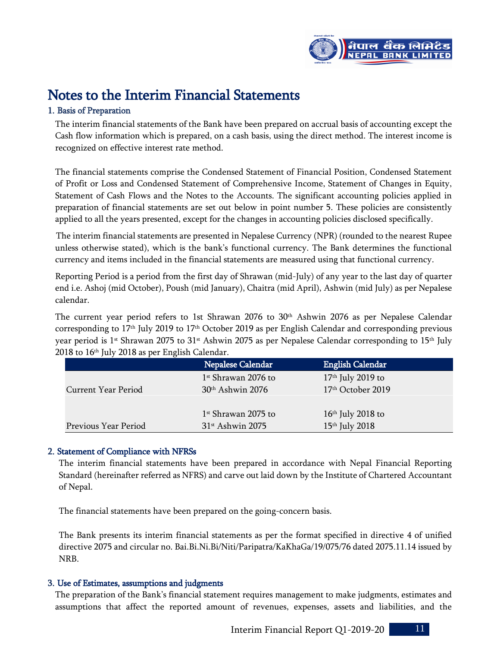

# Notes to the Interim Financial Statements

# 1. Basis of Preparation

The interim financial statements of the Bank have been prepared on accrual basis of accounting except the Cash flow information which is prepared, on a cash basis, using the direct method. The interest income is recognized on effective interest rate method.

The financial statements comprise the Condensed Statement of Financial Position, Condensed Statement of Profit or Loss and Condensed Statement of Comprehensive Income, Statement of Changes in Equity, Statement of Cash Flows and the Notes to the Accounts. The significant accounting policies applied in preparation of financial statements are set out below in point number 5. These policies are consistently applied to all the years presented, except for the changes in accounting policies disclosed specifically.

 The interim financial statements are presented in Nepalese Currency (NPR) (rounded to the nearest Rupee unless otherwise stated), which is the bank's functional currency. The Bank determines the functional currency and items included in the financial statements are measured using that functional currency.

Reporting Period is a period from the first day of Shrawan (mid-July) of any year to the last day of quarter end i.e. Ashoj (mid October), Poush (mid January), Chaitra (mid April), Ashwin (mid July) as per Nepalese calendar.

The current year period refers to 1st Shrawan 2076 to 30 th Ashwin 2076 as per Nepalese Calendar corresponding to 17th July 2019 to 17th October 2019 as per English Calendar and corresponding previous year period is 1<sup>st</sup> Shrawan 2075 to 31<sup>st</sup> Ashwin 2075 as per Nepalese Calendar corresponding to 15<sup>th</sup> July 2018 to 16th July 2018 as per English Calendar.

|                      | Nepalese Calendar              | <b>English Calendar</b> |
|----------------------|--------------------------------|-------------------------|
|                      | $1st$ Shrawan 2076 to          | $17th$ July 2019 to     |
| Current Year Period  | $30th$ Ashwin 2076             | $17th$ October 2019     |
|                      |                                |                         |
|                      | $1st$ Shrawan 2075 to          | $16th$ July 2018 to     |
| Previous Year Period | $31$ <sup>st</sup> Ashwin 2075 | $15th$ July 2018        |

# 2. Statement of Compliance with NFRSs

The interim financial statements have been prepared in accordance with Nepal Financial Reporting Standard (hereinafter referred as NFRS) and carve out laid down by the Institute of Chartered Accountant of Nepal.

The financial statements have been prepared on the going-concern basis.

The Bank presents its interim financial statements as per the format specified in directive 4 of unified directive 2075 and circular no. Bai.Bi.Ni.Bi/Niti/Paripatra/KaKhaGa/19/075/76 dated 2075.11.14 issued by NRB.

# 3. Use of Estimates, assumptions and judgments

The preparation of the Bank's financial statement requires management to make judgments, estimates and assumptions that affect the reported amount of revenues, expenses, assets and liabilities, and the

Interim Financial Report Q1-2019-20 11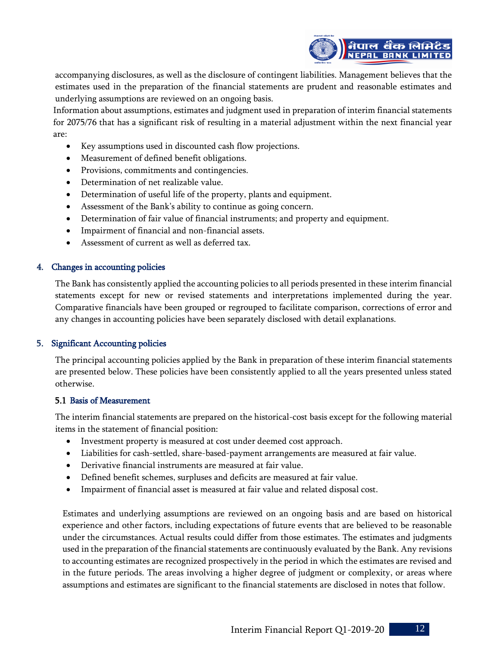

accompanying disclosures, as well as the disclosure of contingent liabilities. Management believes that the estimates used in the preparation of the financial statements are prudent and reasonable estimates and underlying assumptions are reviewed on an ongoing basis.

Information about assumptions, estimates and judgment used in preparation of interim financial statements for 2075/76 that has a significant risk of resulting in a material adjustment within the next financial year are:

- Key assumptions used in discounted cash flow projections.
- Measurement of defined benefit obligations.
- Provisions, commitments and contingencies.
- Determination of net realizable value.
- Determination of useful life of the property, plants and equipment.
- Assessment of the Bank's ability to continue as going concern.
- Determination of fair value of financial instruments; and property and equipment.
- Impairment of financial and non-financial assets.
- Assessment of current as well as deferred tax.

#### 4. Changes in accounting policies

The Bank has consistently applied the accounting policies to all periods presented in these interim financial statements except for new or revised statements and interpretations implemented during the year. Comparative financials have been grouped or regrouped to facilitate comparison, corrections of error and any changes in accounting policies have been separately disclosed with detail explanations.

#### 5. Significant Accounting policies

The principal accounting policies applied by the Bank in preparation of these interim financial statements are presented below. These policies have been consistently applied to all the years presented unless stated otherwise.

#### 5.1 Basis of Measurement

The interim financial statements are prepared on the historical-cost basis except for the following material items in the statement of financial position:

- Investment property is measured at cost under deemed cost approach.
- Liabilities for cash-settled, share-based-payment arrangements are measured at fair value.
- Derivative financial instruments are measured at fair value.
- Defined benefit schemes, surpluses and deficits are measured at fair value.
- Impairment of financial asset is measured at fair value and related disposal cost.

Estimates and underlying assumptions are reviewed on an ongoing basis and are based on historical experience and other factors, including expectations of future events that are believed to be reasonable under the circumstances. Actual results could differ from those estimates. The estimates and judgments used in the preparation of the financial statements are continuously evaluated by the Bank. Any revisions to accounting estimates are recognized prospectively in the period in which the estimates are revised and in the future periods. The areas involving a higher degree of judgment or complexity, or areas where assumptions and estimates are significant to the financial statements are disclosed in notes that follow.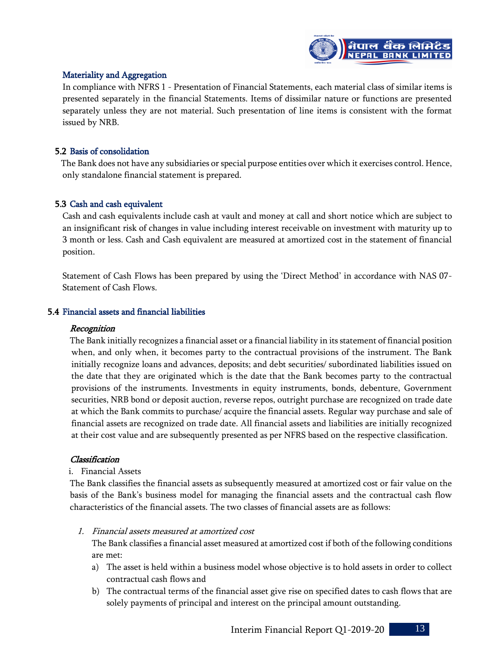

#### Materiality and Aggregation

In compliance with NFRS 1 - Presentation of Financial Statements, each material class of similar items is presented separately in the financial Statements. Items of dissimilar nature or functions are presented separately unless they are not material. Such presentation of line items is consistent with the format issued by NRB.

#### 5.2 Basis of consolidation

The Bank does not have any subsidiaries or special purpose entities over which it exercises control. Hence, only standalone financial statement is prepared.

# 5.3 Cash and cash equivalent

Cash and cash equivalents include cash at vault and money at call and short notice which are subject to an insignificant risk of changes in value including interest receivable on investment with maturity up to 3 month or less. Cash and Cash equivalent are measured at amortized cost in the statement of financial position.

Statement of Cash Flows has been prepared by using the 'Direct Method' in accordance with NAS 07- Statement of Cash Flows.

#### 5.4 Financial assets and financial liabilities

#### **Recognition**

The Bank initially recognizes a financial asset or a financial liability in its statement of financial position when, and only when, it becomes party to the contractual provisions of the instrument. The Bank initially recognize loans and advances, deposits; and debt securities/ subordinated liabilities issued on the date that they are originated which is the date that the Bank becomes party to the contractual provisions of the instruments. Investments in equity instruments, bonds, debenture, Government securities, NRB bond or deposit auction, reverse repos, outright purchase are recognized on trade date at which the Bank commits to purchase/ acquire the financial assets. Regular way purchase and sale of financial assets are recognized on trade date. All financial assets and liabilities are initially recognized at their cost value and are subsequently presented as per NFRS based on the respective classification.

#### Classification

#### i. Financial Assets

The Bank classifies the financial assets as subsequently measured at amortized cost or fair value on the basis of the Bank's business model for managing the financial assets and the contractual cash flow characteristics of the financial assets. The two classes of financial assets are as follows:

1. Financial assets measured at amortized cost

The Bank classifies a financial asset measured at amortized cost if both of the following conditions are met:

- a) The asset is held within a business model whose objective is to hold assets in order to collect contractual cash flows and
- b) The contractual terms of the financial asset give rise on specified dates to cash flows that are solely payments of principal and interest on the principal amount outstanding.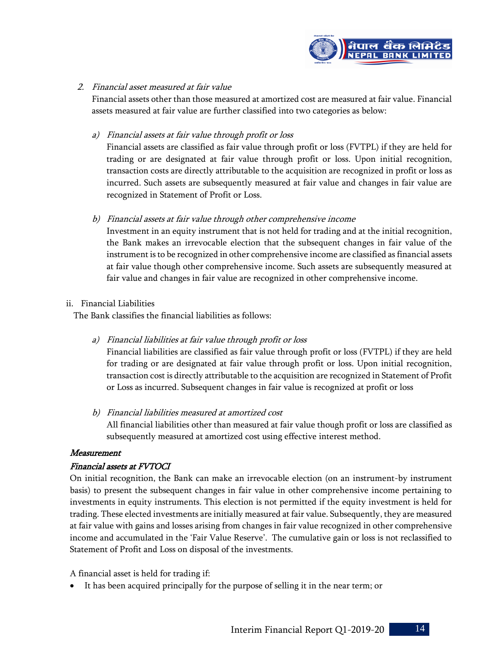

#### 2. Financial asset measured at fair value

Financial assets other than those measured at amortized cost are measured at fair value. Financial assets measured at fair value are further classified into two categories as below:

#### a) Financial assets at fair value through profit or loss

Financial assets are classified as fair value through profit or loss (FVTPL) if they are held for trading or are designated at fair value through profit or loss. Upon initial recognition, transaction costs are directly attributable to the acquisition are recognized in profit or loss as incurred. Such assets are subsequently measured at fair value and changes in fair value are recognized in Statement of Profit or Loss.

#### b) Financial assets at fair value through other comprehensive income

Investment in an equity instrument that is not held for trading and at the initial recognition, the Bank makes an irrevocable election that the subsequent changes in fair value of the instrument is to be recognized in other comprehensive income are classified as financial assets at fair value though other comprehensive income. Such assets are subsequently measured at fair value and changes in fair value are recognized in other comprehensive income.

#### ii. Financial Liabilities

The Bank classifies the financial liabilities as follows:

a) Financial liabilities at fair value through profit or loss

Financial liabilities are classified as fair value through profit or loss (FVTPL) if they are held for trading or are designated at fair value through profit or loss. Upon initial recognition, transaction cost is directly attributable to the acquisition are recognized in Statement of Profit or Loss as incurred. Subsequent changes in fair value is recognized at profit or loss

b) Financial liabilities measured at amortized cost

All financial liabilities other than measured at fair value though profit or loss are classified as subsequently measured at amortized cost using effective interest method.

#### Measurement

# Financial assets at FVTOCI

On initial recognition, the Bank can make an irrevocable election (on an instrument-by instrument basis) to present the subsequent changes in fair value in other comprehensive income pertaining to investments in equity instruments. This election is not permitted if the equity investment is held for trading. These elected investments are initially measured at fair value. Subsequently, they are measured at fair value with gains and losses arising from changes in fair value recognized in other comprehensive income and accumulated in the 'Fair Value Reserve'. The cumulative gain or loss is not reclassified to Statement of Profit and Loss on disposal of the investments.

A financial asset is held for trading if:

It has been acquired principally for the purpose of selling it in the near term; or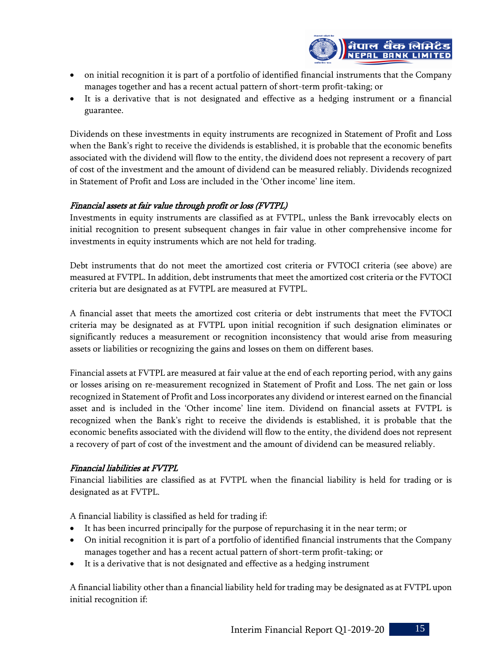

- on initial recognition it is part of a portfolio of identified financial instruments that the Company manages together and has a recent actual pattern of short-term profit-taking; or
- It is a derivative that is not designated and effective as a hedging instrument or a financial guarantee.

Dividends on these investments in equity instruments are recognized in Statement of Profit and Loss when the Bank's right to receive the dividends is established, it is probable that the economic benefits associated with the dividend will flow to the entity, the dividend does not represent a recovery of part of cost of the investment and the amount of dividend can be measured reliably. Dividends recognized in Statement of Profit and Loss are included in the 'Other income' line item.

# Financial assets at fair value through profit or loss (FVTPL)

Investments in equity instruments are classified as at FVTPL, unless the Bank irrevocably elects on initial recognition to present subsequent changes in fair value in other comprehensive income for investments in equity instruments which are not held for trading.

Debt instruments that do not meet the amortized cost criteria or FVTOCI criteria (see above) are measured at FVTPL. In addition, debt instruments that meet the amortized cost criteria or the FVTOCI criteria but are designated as at FVTPL are measured at FVTPL.

A financial asset that meets the amortized cost criteria or debt instruments that meet the FVTOCI criteria may be designated as at FVTPL upon initial recognition if such designation eliminates or significantly reduces a measurement or recognition inconsistency that would arise from measuring assets or liabilities or recognizing the gains and losses on them on different bases.

Financial assets at FVTPL are measured at fair value at the end of each reporting period, with any gains or losses arising on re-measurement recognized in Statement of Profit and Loss. The net gain or loss recognized in Statement of Profit and Loss incorporates any dividend or interest earned on the financial asset and is included in the 'Other income' line item. Dividend on financial assets at FVTPL is recognized when the Bank's right to receive the dividends is established, it is probable that the economic benefits associated with the dividend will flow to the entity, the dividend does not represent a recovery of part of cost of the investment and the amount of dividend can be measured reliably.

# Financial liabilities at FVTPL

Financial liabilities are classified as at FVTPL when the financial liability is held for trading or is designated as at FVTPL.

A financial liability is classified as held for trading if:

- It has been incurred principally for the purpose of repurchasing it in the near term; or
- On initial recognition it is part of a portfolio of identified financial instruments that the Company manages together and has a recent actual pattern of short-term profit-taking; or
- It is a derivative that is not designated and effective as a hedging instrument

A financial liability other than a financial liability held for trading may be designated as at FVTPL upon initial recognition if: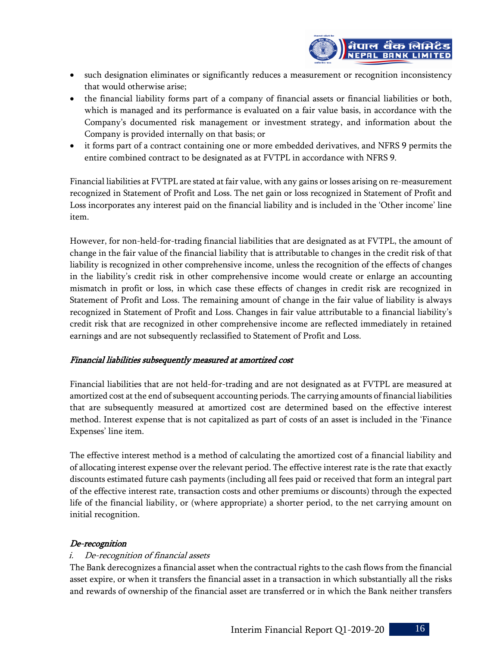

- such designation eliminates or significantly reduces a measurement or recognition inconsistency that would otherwise arise;
- the financial liability forms part of a company of financial assets or financial liabilities or both, which is managed and its performance is evaluated on a fair value basis, in accordance with the Company's documented risk management or investment strategy, and information about the Company is provided internally on that basis; or
- it forms part of a contract containing one or more embedded derivatives, and NFRS 9 permits the entire combined contract to be designated as at FVTPL in accordance with NFRS 9.

Financial liabilities at FVTPL are stated at fair value, with any gains or losses arising on re-measurement recognized in Statement of Profit and Loss. The net gain or loss recognized in Statement of Profit and Loss incorporates any interest paid on the financial liability and is included in the 'Other income' line item.

However, for non-held-for-trading financial liabilities that are designated as at FVTPL, the amount of change in the fair value of the financial liability that is attributable to changes in the credit risk of that liability is recognized in other comprehensive income, unless the recognition of the effects of changes in the liability's credit risk in other comprehensive income would create or enlarge an accounting mismatch in profit or loss, in which case these effects of changes in credit risk are recognized in Statement of Profit and Loss. The remaining amount of change in the fair value of liability is always recognized in Statement of Profit and Loss. Changes in fair value attributable to a financial liability's credit risk that are recognized in other comprehensive income are reflected immediately in retained earnings and are not subsequently reclassified to Statement of Profit and Loss.

# Financial liabilities subsequently measured at amortized cost

Financial liabilities that are not held-for-trading and are not designated as at FVTPL are measured at amortized cost at the end of subsequent accounting periods. The carrying amounts of financial liabilities that are subsequently measured at amortized cost are determined based on the effective interest method. Interest expense that is not capitalized as part of costs of an asset is included in the 'Finance Expenses' line item.

The effective interest method is a method of calculating the amortized cost of a financial liability and of allocating interest expense over the relevant period. The effective interest rate is the rate that exactly discounts estimated future cash payments (including all fees paid or received that form an integral part of the effective interest rate, transaction costs and other premiums or discounts) through the expected life of the financial liability, or (where appropriate) a shorter period, to the net carrying amount on initial recognition.

# De-recognition

# i. De-recognition of financial assets

The Bank derecognizes a financial asset when the contractual rights to the cash flows from the financial asset expire, or when it transfers the financial asset in a transaction in which substantially all the risks and rewards of ownership of the financial asset are transferred or in which the Bank neither transfers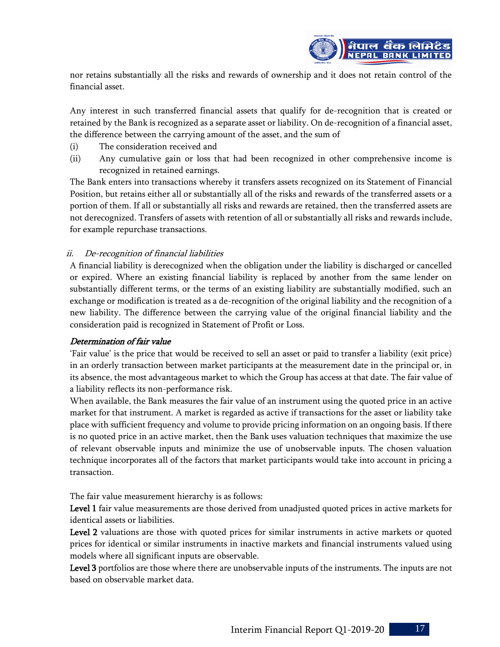

nor retains substantially all the risks and rewards of ownership and it does not retain control of the financial asset.

Any interest in such transferred financial assets that qualify for de-recognition that is created or retained by the Bank is recognized as a separate asset or liability. On de-recognition of a financial asset, the difference between the carrying amount of the asset, and the sum of

- (i) The consideration received and
- (ii) Any cumulative gain or loss that had been recognized in other comprehensive income is recognized in retained earnings.

The Bank enters into transactions whereby it transfers assets recognized on its Statement of Financial Position, but retains either all or substantially all of the risks and rewards of the transferred assets or a portion of them. If all or substantially all risks and rewards are retained, then the transferred assets are not derecognized. Transfers of assets with retention of all or substantially all risks and rewards include, for example repurchase transactions.

# ii. De-recognition of financial liabilities

A financial liability is derecognized when the obligation under the liability is discharged or cancelled or expired. Where an existing financial liability is replaced by another from the same lender on substantially different terms, or the terms of an existing liability are substantially modified, such an exchange or modification is treated as a de-recognition of the original liability and the recognition of a new liability. The difference between the carrying value of the original financial liability and the consideration paid is recognized in Statement of Profit or Loss.

#### Determination of fair value

'Fair value' is the price that would be received to sell an asset or paid to transfer a liability (exit price) in an orderly transaction between market participants at the measurement date in the principal or, in its absence, the most advantageous market to which the Group has access at that date. The fair value of a liability reflects its non-performance risk.

When available, the Bank measures the fair value of an instrument using the quoted price in an active market for that instrument. A market is regarded as active if transactions for the asset or liability take place with sufficient frequency and volume to provide pricing information on an ongoing basis. If there is no quoted price in an active market, then the Bank uses valuation techniques that maximize the use of relevant observable inputs and minimize the use of unobservable inputs. The chosen valuation technique incorporates all of the factors that market participants would take into account in pricing a transaction.

The fair value measurement hierarchy is as follows:

Level 1 fair value measurements are those derived from unadjusted quoted prices in active markets for identical assets or liabilities.

Level 2 valuations are those with quoted prices for similar instruments in active markets or quoted prices for identical or similar instruments in inactive markets and financial instruments valued using models where all significant inputs are observable.

Level 3 portfolios are those where there are unobservable inputs of the instruments. The inputs are not based on observable market data.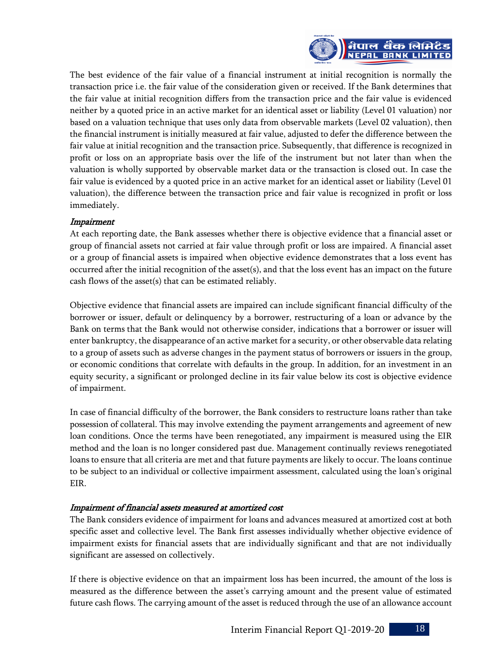

The best evidence of the fair value of a financial instrument at initial recognition is normally the transaction price i.e. the fair value of the consideration given or received. If the Bank determines that the fair value at initial recognition differs from the transaction price and the fair value is evidenced neither by a quoted price in an active market for an identical asset or liability (Level 01 valuation) nor based on a valuation technique that uses only data from observable markets (Level 02 valuation), then the financial instrument is initially measured at fair value, adjusted to defer the difference between the fair value at initial recognition and the transaction price. Subsequently, that difference is recognized in profit or loss on an appropriate basis over the life of the instrument but not later than when the valuation is wholly supported by observable market data or the transaction is closed out. In case the fair value is evidenced by a quoted price in an active market for an identical asset or liability (Level 01 valuation), the difference between the transaction price and fair value is recognized in profit or loss immediately.

# Impairment

At each reporting date, the Bank assesses whether there is objective evidence that a financial asset or group of financial assets not carried at fair value through profit or loss are impaired. A financial asset or a group of financial assets is impaired when objective evidence demonstrates that a loss event has occurred after the initial recognition of the asset(s), and that the loss event has an impact on the future cash flows of the asset(s) that can be estimated reliably.

Objective evidence that financial assets are impaired can include significant financial difficulty of the borrower or issuer, default or delinquency by a borrower, restructuring of a loan or advance by the Bank on terms that the Bank would not otherwise consider, indications that a borrower or issuer will enter bankruptcy, the disappearance of an active market for a security, or other observable data relating to a group of assets such as adverse changes in the payment status of borrowers or issuers in the group, or economic conditions that correlate with defaults in the group. In addition, for an investment in an equity security, a significant or prolonged decline in its fair value below its cost is objective evidence of impairment.

In case of financial difficulty of the borrower, the Bank considers to restructure loans rather than take possession of collateral. This may involve extending the payment arrangements and agreement of new loan conditions. Once the terms have been renegotiated, any impairment is measured using the EIR method and the loan is no longer considered past due. Management continually reviews renegotiated loans to ensure that all criteria are met and that future payments are likely to occur. The loans continue to be subject to an individual or collective impairment assessment, calculated using the loan's original EIR.

# Impairment of financial assets measured at amortized cost

The Bank considers evidence of impairment for loans and advances measured at amortized cost at both specific asset and collective level. The Bank first assesses individually whether objective evidence of impairment exists for financial assets that are individually significant and that are not individually significant are assessed on collectively.

If there is objective evidence on that an impairment loss has been incurred, the amount of the loss is measured as the difference between the asset's carrying amount and the present value of estimated future cash flows. The carrying amount of the asset is reduced through the use of an allowance account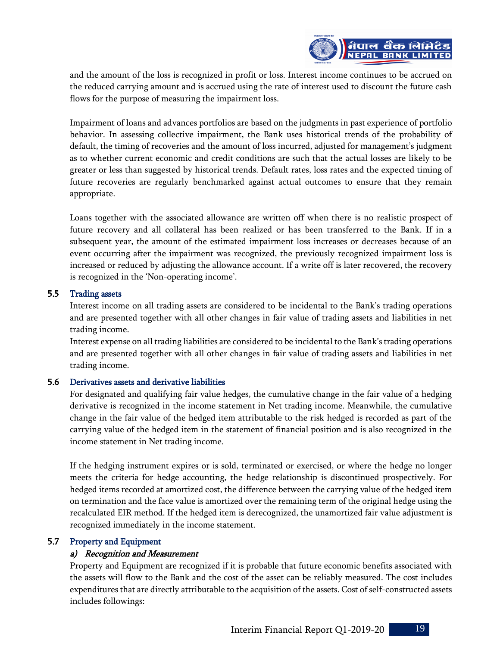

and the amount of the loss is recognized in profit or loss. Interest income continues to be accrued on the reduced carrying amount and is accrued using the rate of interest used to discount the future cash flows for the purpose of measuring the impairment loss.

Impairment of loans and advances portfolios are based on the judgments in past experience of portfolio behavior. In assessing collective impairment, the Bank uses historical trends of the probability of default, the timing of recoveries and the amount of loss incurred, adjusted for management's judgment as to whether current economic and credit conditions are such that the actual losses are likely to be greater or less than suggested by historical trends. Default rates, loss rates and the expected timing of future recoveries are regularly benchmarked against actual outcomes to ensure that they remain appropriate.

Loans together with the associated allowance are written off when there is no realistic prospect of future recovery and all collateral has been realized or has been transferred to the Bank. If in a subsequent year, the amount of the estimated impairment loss increases or decreases because of an event occurring after the impairment was recognized, the previously recognized impairment loss is increased or reduced by adjusting the allowance account. If a write off is later recovered, the recovery is recognized in the 'Non-operating income'.

#### 5.5 Trading assets

Interest income on all trading assets are considered to be incidental to the Bank's trading operations and are presented together with all other changes in fair value of trading assets and liabilities in net trading income.

Interest expense on all trading liabilities are considered to be incidental to the Bank's trading operations and are presented together with all other changes in fair value of trading assets and liabilities in net trading income.

# 5.6 Derivatives assets and derivative liabilities

For designated and qualifying fair value hedges, the cumulative change in the fair value of a hedging derivative is recognized in the income statement in Net trading income. Meanwhile, the cumulative change in the fair value of the hedged item attributable to the risk hedged is recorded as part of the carrying value of the hedged item in the statement of financial position and is also recognized in the income statement in Net trading income.

If the hedging instrument expires or is sold, terminated or exercised, or where the hedge no longer meets the criteria for hedge accounting, the hedge relationship is discontinued prospectively. For hedged items recorded at amortized cost, the difference between the carrying value of the hedged item on termination and the face value is amortized over the remaining term of the original hedge using the recalculated EIR method. If the hedged item is derecognized, the unamortized fair value adjustment is recognized immediately in the income statement.

# 5.7 Property and Equipment

# a) Recognition and Measurement

Property and Equipment are recognized if it is probable that future economic benefits associated with the assets will flow to the Bank and the cost of the asset can be reliably measured. The cost includes expenditures that are directly attributable to the acquisition of the assets. Cost of self-constructed assets includes followings: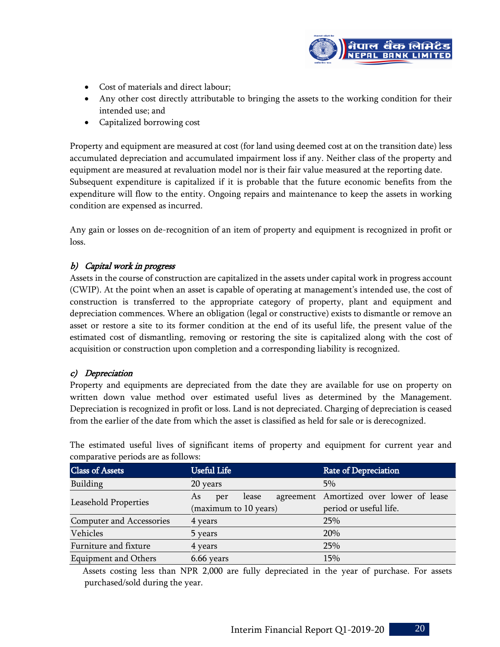

- Cost of materials and direct labour;
- Any other cost directly attributable to bringing the assets to the working condition for their intended use; and
- Capitalized borrowing cost

Property and equipment are measured at cost (for land using deemed cost at on the transition date) less accumulated depreciation and accumulated impairment loss if any. Neither class of the property and equipment are measured at revaluation model nor is their fair value measured at the reporting date. Subsequent expenditure is capitalized if it is probable that the future economic benefits from the expenditure will flow to the entity. Ongoing repairs and maintenance to keep the assets in working condition are expensed as incurred.

Any gain or losses on de-recognition of an item of property and equipment is recognized in profit or loss.

# b) Capital work in progress

Assets in the course of construction are capitalized in the assets under capital work in progress account (CWIP). At the point when an asset is capable of operating at management's intended use, the cost of construction is transferred to the appropriate category of property, plant and equipment and depreciation commences. Where an obligation (legal or constructive) exists to dismantle or remove an asset or restore a site to its former condition at the end of its useful life, the present value of the estimated cost of dismantling, removing or restoring the site is capitalized along with the cost of acquisition or construction upon completion and a corresponding liability is recognized.

# c) Depreciation

Property and equipments are depreciated from the date they are available for use on property on written down value method over estimated useful lives as determined by the Management. Depreciation is recognized in profit or loss. Land is not depreciated. Charging of depreciation is ceased from the earlier of the date from which the asset is classified as held for sale or is derecognized.

| comparative periodo are ao romo $\theta$ . |                       |                                         |  |  |  |  |
|--------------------------------------------|-----------------------|-----------------------------------------|--|--|--|--|
| Class of Assets                            | <b>Useful Life</b>    | <b>Rate of Depreciation</b>             |  |  |  |  |
| Building                                   | 20 years              | 5%                                      |  |  |  |  |
| Leasehold Properties                       | lease<br>As<br>per    | agreement Amortized over lower of lease |  |  |  |  |
|                                            | (maximum to 10 years) | period or useful life.                  |  |  |  |  |
| Computer and Accessories                   | 4 years               | 25%                                     |  |  |  |  |
| Vehicles                                   | 5 years               | 20%                                     |  |  |  |  |
| Furniture and fixture                      | 4 years               | 25%                                     |  |  |  |  |
| <b>Equipment and Others</b>                | 6.66 years            | 15%                                     |  |  |  |  |

The estimated useful lives of significant items of property and equipment for current year and comparative periods are as follows:

 Assets costing less than NPR 2,000 are fully depreciated in the year of purchase. For assets purchased/sold during the year.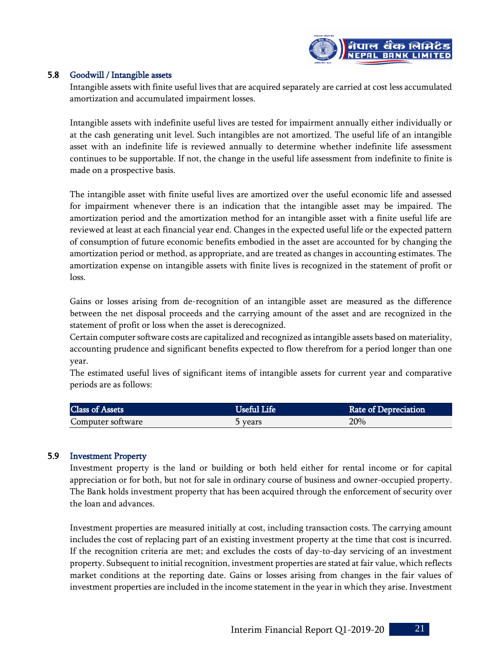

#### 5.8 Goodwill / Intangible assets

Intangible assets with finite useful lives that are acquired separately are carried at cost less accumulated amortization and accumulated impairment losses.

Intangible assets with indefinite useful lives are tested for impairment annually either individually or at the cash generating unit level. Such intangibles are not amortized. The useful life of an intangible asset with an indefinite life is reviewed annually to determine whether indefinite life assessment continues to be supportable. If not, the change in the useful life assessment from indefinite to finite is made on a prospective basis.

The intangible asset with finite useful lives are amortized over the useful economic life and assessed for impairment whenever there is an indication that the intangible asset may be impaired. The amortization period and the amortization method for an intangible asset with a finite useful life are reviewed at least at each financial year end. Changes in the expected useful life or the expected pattern of consumption of future economic benefits embodied in the asset are accounted for by changing the amortization period or method, as appropriate, and are treated as changes in accounting estimates. The amortization expense on intangible assets with finite lives is recognized in the statement of profit or loss.

Gains or losses arising from de-recognition of an intangible asset are measured as the difference between the net disposal proceeds and the carrying amount of the asset and are recognized in the statement of profit or loss when the asset is derecognized.

Certain computer software costs are capitalized and recognized as intangible assets based on materiality, accounting prudence and significant benefits expected to flow therefrom for a period longer than one year.

The estimated useful lives of significant items of intangible assets for current year and comparative periods are as follows:

| <b>Class of Assets</b> | <b>Useful Life</b> | <b>Rate of Depreciation</b> |
|------------------------|--------------------|-----------------------------|
| Computer software      | years ל            | 20%                         |

# 5.9 Investment Property

Investment property is the land or building or both held either for rental income or for capital appreciation or for both, but not for sale in ordinary course of business and owner-occupied property. The Bank holds investment property that has been acquired through the enforcement of security over the loan and advances.

Investment properties are measured initially at cost, including transaction costs. The carrying amount includes the cost of replacing part of an existing investment property at the time that cost is incurred. If the recognition criteria are met; and excludes the costs of day-to-day servicing of an investment property. Subsequent to initial recognition, investment properties are stated at fair value, which reflects market conditions at the reporting date. Gains or losses arising from changes in the fair values of investment properties are included in the income statement in the year in which they arise. Investment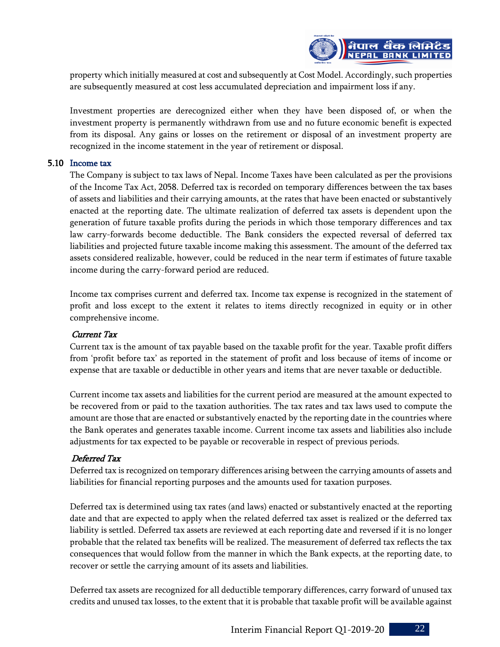

property which initially measured at cost and subsequently at Cost Model. Accordingly, such properties are subsequently measured at cost less accumulated depreciation and impairment loss if any.

Investment properties are derecognized either when they have been disposed of, or when the investment property is permanently withdrawn from use and no future economic benefit is expected from its disposal. Any gains or losses on the retirement or disposal of an investment property are recognized in the income statement in the year of retirement or disposal.

#### 5.10 Income tax

The Company is subject to tax laws of Nepal. Income Taxes have been calculated as per the provisions of the Income Tax Act, 2058. Deferred tax is recorded on temporary differences between the tax bases of assets and liabilities and their carrying amounts, at the rates that have been enacted or substantively enacted at the reporting date. The ultimate realization of deferred tax assets is dependent upon the generation of future taxable profits during the periods in which those temporary differences and tax law carry-forwards become deductible. The Bank considers the expected reversal of deferred tax liabilities and projected future taxable income making this assessment. The amount of the deferred tax assets considered realizable, however, could be reduced in the near term if estimates of future taxable income during the carry-forward period are reduced.

Income tax comprises current and deferred tax. Income tax expense is recognized in the statement of profit and loss except to the extent it relates to items directly recognized in equity or in other comprehensive income.

# Current Tax

Current tax is the amount of tax payable based on the taxable profit for the year. Taxable profit differs from 'profit before tax' as reported in the statement of profit and loss because of items of income or expense that are taxable or deductible in other years and items that are never taxable or deductible.

Current income tax assets and liabilities for the current period are measured at the amount expected to be recovered from or paid to the taxation authorities. The tax rates and tax laws used to compute the amount are those that are enacted or substantively enacted by the reporting date in the countries where the Bank operates and generates taxable income. Current income tax assets and liabilities also include adjustments for tax expected to be payable or recoverable in respect of previous periods.

# Deferred Tax

Deferred tax is recognized on temporary differences arising between the carrying amounts of assets and liabilities for financial reporting purposes and the amounts used for taxation purposes.

Deferred tax is determined using tax rates (and laws) enacted or substantively enacted at the reporting date and that are expected to apply when the related deferred tax asset is realized or the deferred tax liability is settled. Deferred tax assets are reviewed at each reporting date and reversed if it is no longer probable that the related tax benefits will be realized. The measurement of deferred tax reflects the tax consequences that would follow from the manner in which the Bank expects, at the reporting date, to recover or settle the carrying amount of its assets and liabilities.

Deferred tax assets are recognized for all deductible temporary differences, carry forward of unused tax credits and unused tax losses, to the extent that it is probable that taxable profit will be available against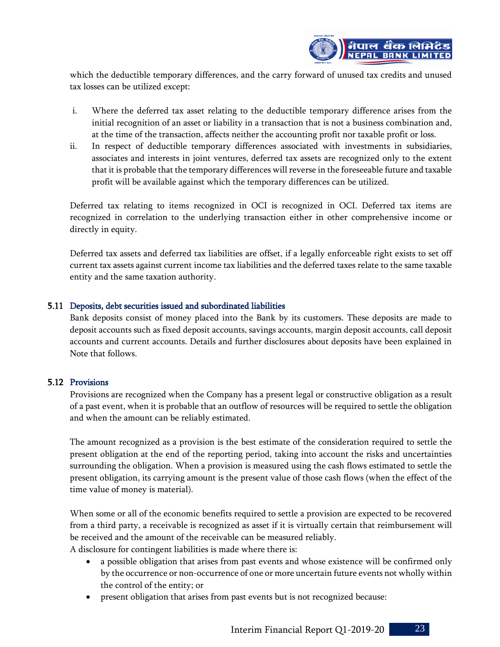

which the deductible temporary differences, and the carry forward of unused tax credits and unused tax losses can be utilized except:

- i. Where the deferred tax asset relating to the deductible temporary difference arises from the initial recognition of an asset or liability in a transaction that is not a business combination and, at the time of the transaction, affects neither the accounting profit nor taxable profit or loss.
- ii. In respect of deductible temporary differences associated with investments in subsidiaries, associates and interests in joint ventures, deferred tax assets are recognized only to the extent that it is probable that the temporary differences will reverse in the foreseeable future and taxable profit will be available against which the temporary differences can be utilized.

Deferred tax relating to items recognized in OCI is recognized in OCI. Deferred tax items are recognized in correlation to the underlying transaction either in other comprehensive income or directly in equity.

Deferred tax assets and deferred tax liabilities are offset, if a legally enforceable right exists to set off current tax assets against current income tax liabilities and the deferred taxes relate to the same taxable entity and the same taxation authority.

#### 5.11 Deposits, debt securities issued and subordinated liabilities

Bank deposits consist of money placed into the Bank by its customers. These deposits are made to deposit accounts such as fixed deposit accounts, savings accounts, margin deposit accounts, call deposit accounts and current accounts. Details and further disclosures about deposits have been explained in Note that follows.

#### 5.12 Provisions

Provisions are recognized when the Company has a present legal or constructive obligation as a result of a past event, when it is probable that an outflow of resources will be required to settle the obligation and when the amount can be reliably estimated.

The amount recognized as a provision is the best estimate of the consideration required to settle the present obligation at the end of the reporting period, taking into account the risks and uncertainties surrounding the obligation. When a provision is measured using the cash flows estimated to settle the present obligation, its carrying amount is the present value of those cash flows (when the effect of the time value of money is material).

When some or all of the economic benefits required to settle a provision are expected to be recovered from a third party, a receivable is recognized as asset if it is virtually certain that reimbursement will be received and the amount of the receivable can be measured reliably. A disclosure for contingent liabilities is made where there is:

- a possible obligation that arises from past events and whose existence will be confirmed only by the occurrence or non-occurrence of one or more uncertain future events not wholly within the control of the entity; or
- present obligation that arises from past events but is not recognized because: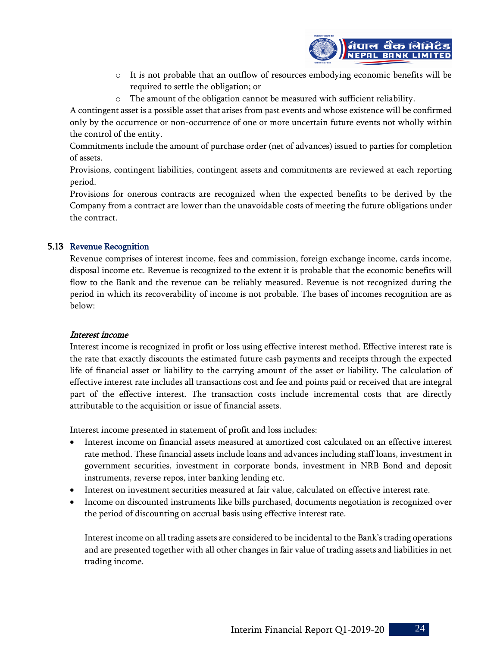

- o It is not probable that an outflow of resources embodying economic benefits will be required to settle the obligation; or
- o The amount of the obligation cannot be measured with sufficient reliability.

A contingent asset is a possible asset that arises from past events and whose existence will be confirmed only by the occurrence or non-occurrence of one or more uncertain future events not wholly within the control of the entity.

Commitments include the amount of purchase order (net of advances) issued to parties for completion of assets.

Provisions, contingent liabilities, contingent assets and commitments are reviewed at each reporting period.

Provisions for onerous contracts are recognized when the expected benefits to be derived by the Company from a contract are lower than the unavoidable costs of meeting the future obligations under the contract.

# 5.13 Revenue Recognition

Revenue comprises of interest income, fees and commission, foreign exchange income, cards income, disposal income etc. Revenue is recognized to the extent it is probable that the economic benefits will flow to the Bank and the revenue can be reliably measured. Revenue is not recognized during the period in which its recoverability of income is not probable. The bases of incomes recognition are as below:

# Interest income

Interest income is recognized in profit or loss using effective interest method. Effective interest rate is the rate that exactly discounts the estimated future cash payments and receipts through the expected life of financial asset or liability to the carrying amount of the asset or liability. The calculation of effective interest rate includes all transactions cost and fee and points paid or received that are integral part of the effective interest. The transaction costs include incremental costs that are directly attributable to the acquisition or issue of financial assets.

Interest income presented in statement of profit and loss includes:

- Interest income on financial assets measured at amortized cost calculated on an effective interest rate method. These financial assets include loans and advances including staff loans, investment in government securities, investment in corporate bonds, investment in NRB Bond and deposit instruments, reverse repos, inter banking lending etc.
- Interest on investment securities measured at fair value, calculated on effective interest rate.
- Income on discounted instruments like bills purchased, documents negotiation is recognized over the period of discounting on accrual basis using effective interest rate.

Interest income on all trading assets are considered to be incidental to the Bank's trading operations and are presented together with all other changes in fair value of trading assets and liabilities in net trading income.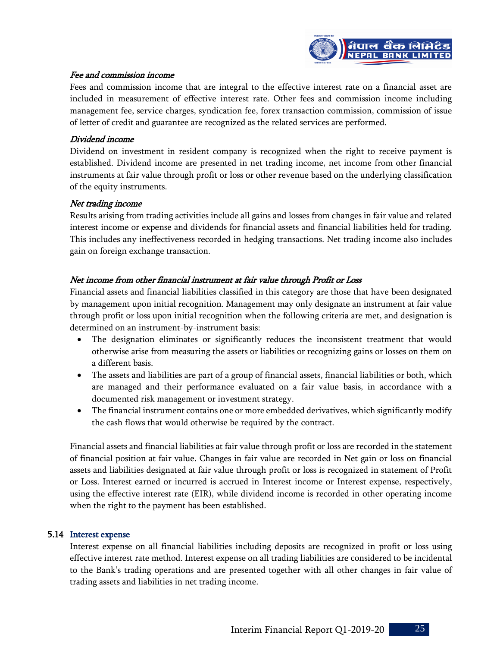

#### Fee and commission income

Fees and commission income that are integral to the effective interest rate on a financial asset are included in measurement of effective interest rate. Other fees and commission income including management fee, service charges, syndication fee, forex transaction commission, commission of issue of letter of credit and guarantee are recognized as the related services are performed.

#### Dividend income

Dividend on investment in resident company is recognized when the right to receive payment is established. Dividend income are presented in net trading income, net income from other financial instruments at fair value through profit or loss or other revenue based on the underlying classification of the equity instruments.

#### Net trading income

Results arising from trading activities include all gains and losses from changes in fair value and related interest income or expense and dividends for financial assets and financial liabilities held for trading. This includes any ineffectiveness recorded in hedging transactions. Net trading income also includes gain on foreign exchange transaction.

# Net income from other financial instrument at fair value through Profit or Loss

Financial assets and financial liabilities classified in this category are those that have been designated by management upon initial recognition. Management may only designate an instrument at fair value through profit or loss upon initial recognition when the following criteria are met, and designation is determined on an instrument-by-instrument basis:

- The designation eliminates or significantly reduces the inconsistent treatment that would otherwise arise from measuring the assets or liabilities or recognizing gains or losses on them on a different basis.
- The assets and liabilities are part of a group of financial assets, financial liabilities or both, which are managed and their performance evaluated on a fair value basis, in accordance with a documented risk management or investment strategy.
- The financial instrument contains one or more embedded derivatives, which significantly modify the cash flows that would otherwise be required by the contract.

Financial assets and financial liabilities at fair value through profit or loss are recorded in the statement of financial position at fair value. Changes in fair value are recorded in Net gain or loss on financial assets and liabilities designated at fair value through profit or loss is recognized in statement of Profit or Loss. Interest earned or incurred is accrued in Interest income or Interest expense, respectively, using the effective interest rate (EIR), while dividend income is recorded in other operating income when the right to the payment has been established.

#### 5.14 Interest expense

Interest expense on all financial liabilities including deposits are recognized in profit or loss using effective interest rate method. Interest expense on all trading liabilities are considered to be incidental to the Bank's trading operations and are presented together with all other changes in fair value of trading assets and liabilities in net trading income.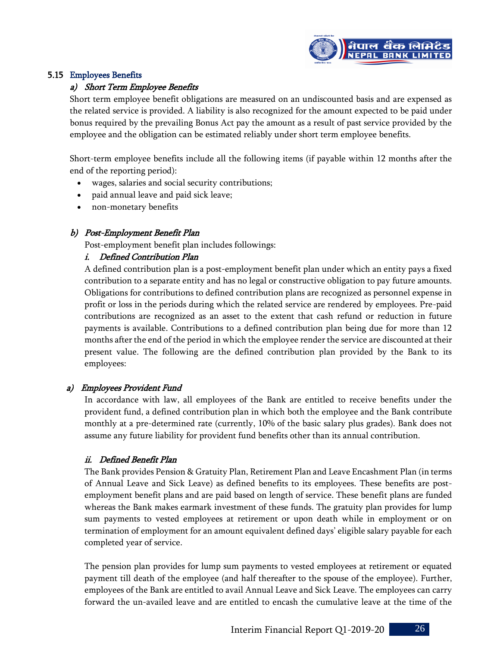

# 5.15 Employees Benefits

# a) Short Term Employee Benefits

Short term employee benefit obligations are measured on an undiscounted basis and are expensed as the related service is provided. A liability is also recognized for the amount expected to be paid under bonus required by the prevailing Bonus Act pay the amount as a result of past service provided by the employee and the obligation can be estimated reliably under short term employee benefits.

Short-term employee benefits include all the following items (if payable within 12 months after the end of the reporting period):

- wages, salaries and social security contributions;
- paid annual leave and paid sick leave;
- non-monetary benefits

# b) Post-Employment Benefit Plan

Post-employment benefit plan includes followings:

# i. Defined Contribution Plan

A defined contribution plan is a post-employment benefit plan under which an entity pays a fixed contribution to a separate entity and has no legal or constructive obligation to pay future amounts. Obligations for contributions to defined contribution plans are recognized as personnel expense in profit or loss in the periods during which the related service are rendered by employees. Pre-paid contributions are recognized as an asset to the extent that cash refund or reduction in future payments is available. Contributions to a defined contribution plan being due for more than 12 months after the end of the period in which the employee render the service are discounted at their present value. The following are the defined contribution plan provided by the Bank to its employees:

# a) Employees Provident Fund

In accordance with law, all employees of the Bank are entitled to receive benefits under the provident fund, a defined contribution plan in which both the employee and the Bank contribute monthly at a pre-determined rate (currently, 10% of the basic salary plus grades). Bank does not assume any future liability for provident fund benefits other than its annual contribution.

# ii. Defined Benefit Plan

The Bank provides Pension & Gratuity Plan, Retirement Plan and Leave Encashment Plan (in terms of Annual Leave and Sick Leave) as defined benefits to its employees. These benefits are postemployment benefit plans and are paid based on length of service. These benefit plans are funded whereas the Bank makes earmark investment of these funds. The gratuity plan provides for lump sum payments to vested employees at retirement or upon death while in employment or on termination of employment for an amount equivalent defined days' eligible salary payable for each completed year of service.

The pension plan provides for lump sum payments to vested employees at retirement or equated payment till death of the employee (and half thereafter to the spouse of the employee). Further, employees of the Bank are entitled to avail Annual Leave and Sick Leave. The employees can carry forward the un-availed leave and are entitled to encash the cumulative leave at the time of the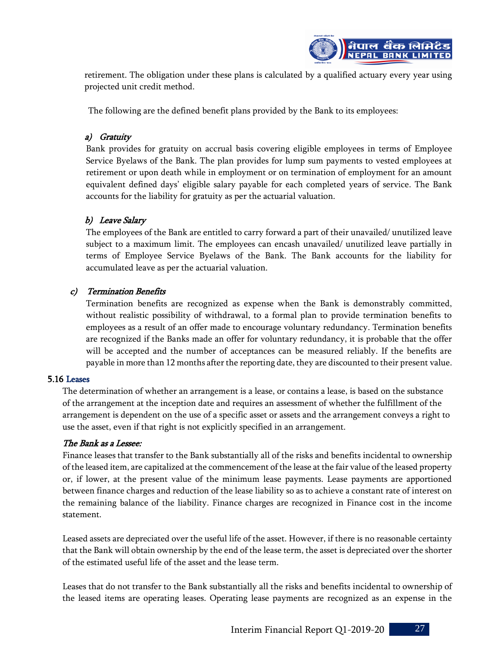

retirement. The obligation under these plans is calculated by a qualified actuary every year using projected unit credit method.

The following are the defined benefit plans provided by the Bank to its employees:

# a) Gratuity

Bank provides for gratuity on accrual basis covering eligible employees in terms of Employee Service Byelaws of the Bank. The plan provides for lump sum payments to vested employees at retirement or upon death while in employment or on termination of employment for an amount equivalent defined days' eligible salary payable for each completed years of service. The Bank accounts for the liability for gratuity as per the actuarial valuation.

# b) Leave Salary

The employees of the Bank are entitled to carry forward a part of their unavailed/ unutilized leave subject to a maximum limit. The employees can encash unavailed/ unutilized leave partially in terms of Employee Service Byelaws of the Bank. The Bank accounts for the liability for accumulated leave as per the actuarial valuation.

# c) Termination Benefits

Termination benefits are recognized as expense when the Bank is demonstrably committed, without realistic possibility of withdrawal, to a formal plan to provide termination benefits to employees as a result of an offer made to encourage voluntary redundancy. Termination benefits are recognized if the Banks made an offer for voluntary redundancy, it is probable that the offer will be accepted and the number of acceptances can be measured reliably. If the benefits are payable in more than 12 months after the reporting date, they are discounted to their present value.

# 5.16 Leases

The determination of whether an arrangement is a lease, or contains a lease, is based on the substance of the arrangement at the inception date and requires an assessment of whether the fulfillment of the arrangement is dependent on the use of a specific asset or assets and the arrangement conveys a right to use the asset, even if that right is not explicitly specified in an arrangement.

# The Bank as a Lessee:

Finance leases that transfer to the Bank substantially all of the risks and benefits incidental to ownership of the leased item, are capitalized at the commencement of the lease at the fair value of the leased property or, if lower, at the present value of the minimum lease payments. Lease payments are apportioned between finance charges and reduction of the lease liability so as to achieve a constant rate of interest on the remaining balance of the liability. Finance charges are recognized in Finance cost in the income statement.

Leased assets are depreciated over the useful life of the asset. However, if there is no reasonable certainty that the Bank will obtain ownership by the end of the lease term, the asset is depreciated over the shorter of the estimated useful life of the asset and the lease term.

Leases that do not transfer to the Bank substantially all the risks and benefits incidental to ownership of the leased items are operating leases. Operating lease payments are recognized as an expense in the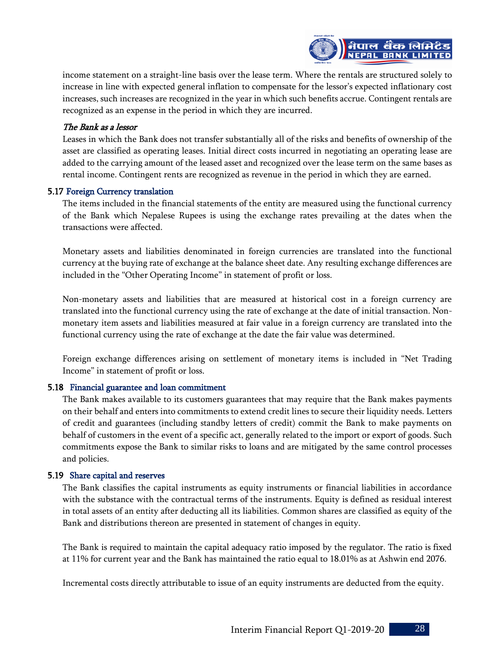

income statement on a straight-line basis over the lease term. Where the rentals are structured solely to increase in line with expected general inflation to compensate for the lessor's expected inflationary cost increases, such increases are recognized in the year in which such benefits accrue. Contingent rentals are recognized as an expense in the period in which they are incurred.

#### The Bank as a lessor

Leases in which the Bank does not transfer substantially all of the risks and benefits of ownership of the asset are classified as operating leases. Initial direct costs incurred in negotiating an operating lease are added to the carrying amount of the leased asset and recognized over the lease term on the same bases as rental income. Contingent rents are recognized as revenue in the period in which they are earned.

#### 5.17 Foreign Currency translation

The items included in the financial statements of the entity are measured using the functional currency of the Bank which Nepalese Rupees is using the exchange rates prevailing at the dates when the transactions were affected.

Monetary assets and liabilities denominated in foreign currencies are translated into the functional currency at the buying rate of exchange at the balance sheet date. Any resulting exchange differences are included in the "Other Operating Income" in statement of profit or loss.

Non-monetary assets and liabilities that are measured at historical cost in a foreign currency are translated into the functional currency using the rate of exchange at the date of initial transaction. Nonmonetary item assets and liabilities measured at fair value in a foreign currency are translated into the functional currency using the rate of exchange at the date the fair value was determined.

Foreign exchange differences arising on settlement of monetary items is included in "Net Trading Income" in statement of profit or loss.

#### 5.18 Financial guarantee and loan commitment

The Bank makes available to its customers guarantees that may require that the Bank makes payments on their behalf and enters into commitments to extend credit lines to secure their liquidity needs. Letters of credit and guarantees (including standby letters of credit) commit the Bank to make payments on behalf of customers in the event of a specific act, generally related to the import or export of goods. Such commitments expose the Bank to similar risks to loans and are mitigated by the same control processes and policies.

#### 5.19 Share capital and reserves

The Bank classifies the capital instruments as equity instruments or financial liabilities in accordance with the substance with the contractual terms of the instruments. Equity is defined as residual interest in total assets of an entity after deducting all its liabilities. Common shares are classified as equity of the Bank and distributions thereon are presented in statement of changes in equity.

The Bank is required to maintain the capital adequacy ratio imposed by the regulator. The ratio is fixed at 11% for current year and the Bank has maintained the ratio equal to 18.01% as at Ashwin end 2076.

Incremental costs directly attributable to issue of an equity instruments are deducted from the equity.

Interim Financial Report Q1-2019-20 28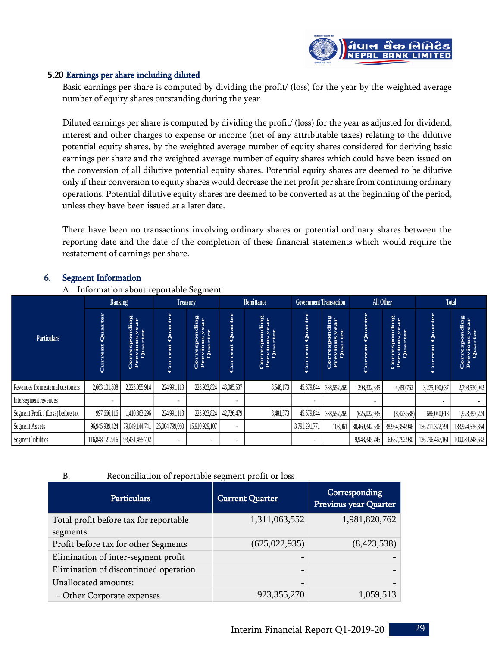

#### 5.20 Earnings per share including diluted

Basic earnings per share is computed by dividing the profit/ (loss) for the year by the weighted average number of equity shares outstanding during the year.

Diluted earnings per share is computed by dividing the profit/ (loss) for the year as adjusted for dividend, interest and other charges to expense or income (net of any attributable taxes) relating to the dilutive potential equity shares, by the weighted average number of equity shares considered for deriving basic earnings per share and the weighted average number of equity shares which could have been issued on the conversion of all dilutive potential equity shares. Potential equity shares are deemed to be dilutive only if their conversion to equity shares would decrease the net profit per share from continuing ordinary operations. Potential dilutive equity shares are deemed to be converted as at the beginning of the period, unless they have been issued at a later date.

There have been no transactions involving ordinary shares or potential ordinary shares between the reporting date and the date of the completion of these financial statements which would require the restatement of earnings per share.

#### 6. Segment Information

A. Information about reportable Segment

|                                                    | <b>Banking</b><br>Treasury |                                                  | Remittance             |                                           |                        | <b>Government Transaction</b><br><b>All Other</b>   |                        |                                           | <b>Total</b>                           |                                           |                        |                                           |
|----------------------------------------------------|----------------------------|--------------------------------------------------|------------------------|-------------------------------------------|------------------------|-----------------------------------------------------|------------------------|-------------------------------------------|----------------------------------------|-------------------------------------------|------------------------|-------------------------------------------|
| <b>Particulars</b>                                 | <b>Current Quarter</b>     | <b>Corresponding</b><br>Previous year<br>Quarter | <b>Current Quarter</b> | Corresponding<br>Previous year<br>Quarter | <b>Current Quarter</b> | Corresponding<br>Previous year<br>Quarter           | <b>Current Quarter</b> | Corresponding<br>Previous year<br>Quarter | <b>Current Quarter</b>                 | Corresponding<br>Previous year<br>Quarter | <b>Current Quarter</b> | Corresponding<br>Previous year<br>Quarter |
| Revenues from external customers                   | 2,663,101,808              | 2,223,055,914                                    | 224,991,113            | 223,923,824                               | 43,085,537             | 8,548,173                                           | 45,679,844             | 338,552,269                               | 298,332,335                            | 4,450,762                                 | 3,275,190,637          | 2,798,530,942                             |
| Intersegment revenues                              |                            |                                                  |                        |                                           |                        |                                                     |                        |                                           |                                        |                                           |                        |                                           |
| Segment Profit / (Loss) before tax                 | 997,666,116                | 1,410,863,296                                    | 224,991,113            | 223,923,824                               | 42,726,479             | 8,481,373                                           | 45,679,844             | 338,552,269                               | (625, 022, 935)                        | (8,423,538)                               | 686,040,618            | 1,973,397,224                             |
| Segment Assets                                     | 96,945,939,424             | 79,049,144,741                                   | 25,004,799,060         | 15,910,929,107                            |                        |                                                     | 3,791,291,771          | 108,061                                   | 30,469,342,536                         | 38,964,354,946                            | 156,211,372,791        | 133,924,536,854                           |
| Segment liabilities                                | 116,848,121,916            | 93,431,455,702                                   |                        |                                           |                        |                                                     |                        |                                           | 9,948,345,245                          | 6,657,792,930                             | 126,796,467,161        | 100,089,248,632                           |
| <b>B.</b>                                          |                            |                                                  |                        |                                           |                        | Reconciliation of reportable segment profit or loss |                        |                                           |                                        |                                           |                        |                                           |
|                                                    |                            | <b>Particulars</b>                               |                        |                                           |                        | <b>Current Quarter</b>                              |                        |                                           | Corresponding<br>Previous year Quarter |                                           |                        |                                           |
| Total profit before tax for reportable<br>segments |                            |                                                  |                        | 1,311,063,552                             |                        |                                                     | 1,981,820,762          |                                           |                                        |                                           |                        |                                           |
| Profit before tax for other Segments               |                            |                                                  | (625, 022, 935)        |                                           |                        | (8,423,538)                                         |                        |                                           |                                        |                                           |                        |                                           |
| Elimination of inter-segment profit                |                            |                                                  |                        |                                           |                        |                                                     |                        |                                           |                                        |                                           |                        |                                           |
| Elimination of discontinued operation              |                            |                                                  |                        |                                           |                        |                                                     |                        |                                           |                                        |                                           |                        |                                           |
| Unallocated amounts:                               |                            |                                                  |                        |                                           |                        |                                                     |                        |                                           |                                        |                                           |                        |                                           |
| - Other Corporate expenses                         |                            | 923, 355, 270                                    |                        |                                           | 1,059,513              |                                                     |                        |                                           |                                        |                                           |                        |                                           |
|                                                    |                            |                                                  |                        |                                           |                        |                                                     |                        |                                           |                                        |                                           |                        |                                           |

#### B. Reconciliation of reportable segment profit or loss

| <b>Particulars</b>                     | <b>Current Quarter</b>   | Corresponding<br>Previous year Quarter |
|----------------------------------------|--------------------------|----------------------------------------|
| Total profit before tax for reportable | 1,311,063,552            | 1,981,820,762                          |
| segments                               |                          |                                        |
| Profit before tax for other Segments   | (625, 022, 935)          | (8,423,538)                            |
| Elimination of inter-segment profit    |                          |                                        |
| Elimination of discontinued operation  | $\overline{\phantom{a}}$ |                                        |
| Unallocated amounts:                   |                          |                                        |
| - Other Corporate expenses             | 923, 355, 270            | 1,059,513                              |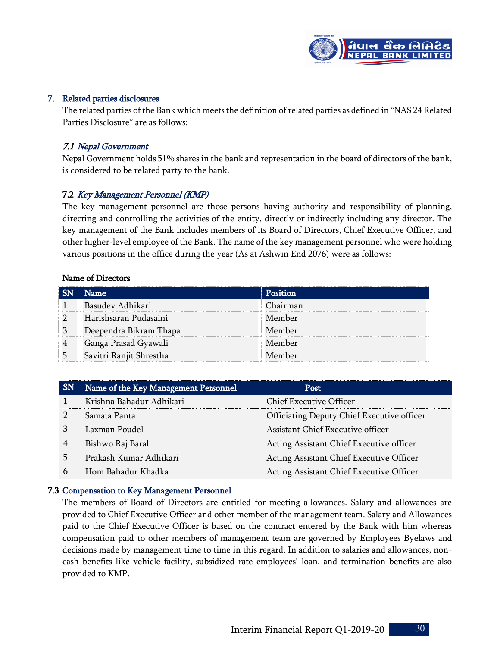

#### 7. Related parties disclosures

The related parties of the Bank which meets the definition of related parties as defined in "NAS 24 Related Parties Disclosure" are as follows:

#### 7.1 Nepal Government

Nepal Government holds 51% shares in the bank and representation in the board of directors of the bank, is considered to be related party to the bank.

#### 7.2 Key Management Personnel (KMP)

The key management personnel are those persons having authority and responsibility of planning, directing and controlling the activities of the entity, directly or indirectly including any director. The key management of the Bank includes members of its Board of Directors, Chief Executive Officer, and other higher-level employee of the Bank. The name of the key management personnel who were holding various positions in the office during the year (As at Ashwin End 2076) were as follows:

#### Name of Directors

| Name                    | Position |
|-------------------------|----------|
| Basudev Adhikari        | Chairman |
| Harishsaran Pudasaini   | Member   |
| Deependra Bikram Thapa  | Member   |
| Ganga Prasad Gyawali    | Member   |
| Savitri Ranjit Shrestha | Member   |

| <b>SN</b> | Name of the Key Management Personnel | Post                                       |
|-----------|--------------------------------------|--------------------------------------------|
|           | Krishna Bahadur Adhikari             | <b>Chief Executive Officer</b>             |
| 2         | Samata Panta                         | Officiating Deputy Chief Executive officer |
| 3         | Laxman Poudel                        | Assistant Chief Executive officer          |
| 4         | Bishwo Raj Baral                     | Acting Assistant Chief Executive officer   |
|           | Prakash Kumar Adhikari               | Acting Assistant Chief Executive Officer   |
| 6         | Hom Bahadur Khadka                   | Acting Assistant Chief Executive Officer   |

#### 7.3 Compensation to Key Management Personnel

The members of Board of Directors are entitled for meeting allowances. Salary and allowances are provided to Chief Executive Officer and other member of the management team. Salary and Allowances paid to the Chief Executive Officer is based on the contract entered by the Bank with him whereas compensation paid to other members of management team are governed by Employees Byelaws and decisions made by management time to time in this regard. In addition to salaries and allowances, noncash benefits like vehicle facility, subsidized rate employees' loan, and termination benefits are also provided to KMP.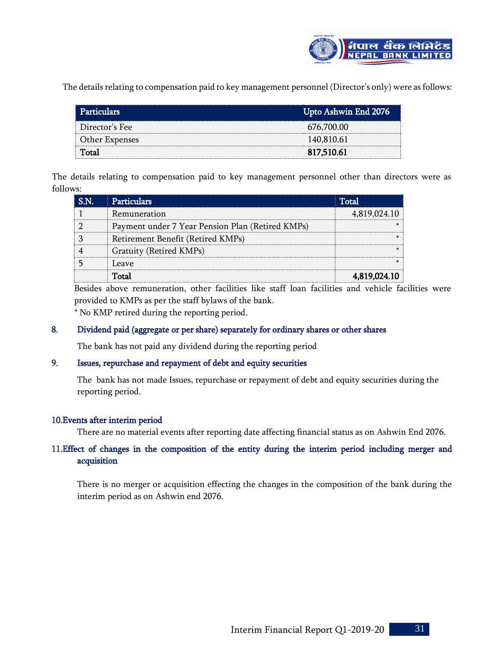

The details relating to compensation paid to key management personnel (Director's only) were as follows:

| <b>Particulars</b> | Upto Ashwin End 2076 |
|--------------------|----------------------|
| Director's Fee     | 676,700.00           |
| Other Expenses     | 140,810.61           |
| Total              | 817,510.61           |

The details relating to compensation paid to key management personnel other than directors were as follows:

| 'NT | <b>Particulars</b>                               | Total <sub>2</sub> |
|-----|--------------------------------------------------|--------------------|
|     | Remuneration                                     | 4,819,024.10       |
|     | Payment under 7 Year Pension Plan (Retired KMPs) |                    |
|     | Retirement Benefit (Retired KMPs)                |                    |
|     | Gratuity (Retired KMPs)                          |                    |
|     | Leave                                            |                    |
|     | Total                                            | 4.819.024.10       |

Besides above remuneration, other facilities like staff loan facilities and vehicle facilities were provided to KMPs as per the staff bylaws of the bank.

\* No KMP retired during the reporting period.

# 8. Dividend paid (aggregate or per share) separately for ordinary shares or other shares

The bank has not paid any dividend during the reporting period

#### 9. Issues, repurchase and repayment of debt and equity securities

The bank has not made Issues, repurchase or repayment of debt and equity securities during the reporting period.

#### 10.Events after interim period

There are no material events after reporting date affecting financial status as on Ashwin End 2076.

# 11.Effect of changes in the composition of the entity during the interim period including merger and acquisition

There is no merger or acquisition effecting the changes in the composition of the bank during the interim period as on Ashwin end 2076.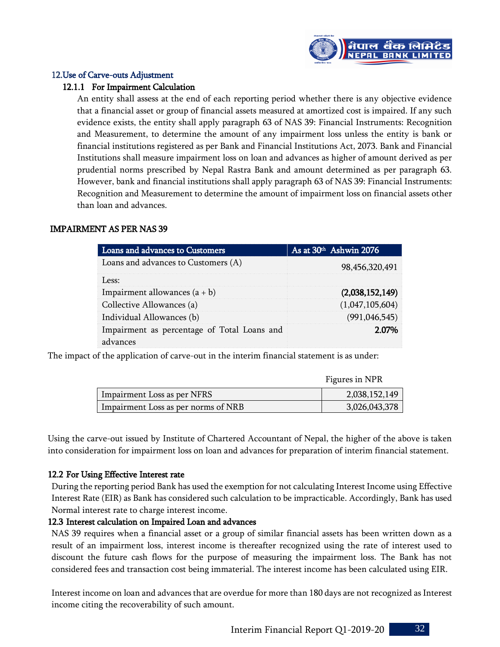

#### 12.Use of Carve-outs Adjustment

#### 12.1.1 For Impairment Calculation

An entity shall assess at the end of each reporting period whether there is any objective evidence that a financial asset or group of financial assets measured at amortized cost is impaired. If any such evidence exists, the entity shall apply paragraph 63 of NAS 39: Financial Instruments: Recognition and Measurement, to determine the amount of any impairment loss unless the entity is bank or financial institutions registered as per Bank and Financial Institutions Act, 2073. Bank and Financial Institutions shall measure impairment loss on loan and advances as higher of amount derived as per prudential norms prescribed by Nepal Rastra Bank and amount determined as per paragraph 63. However, bank and financial institutions shall apply paragraph 63 of NAS 39: Financial Instruments: Recognition and Measurement to determine the amount of impairment loss on financial assets other than loan and advances.

# IMPAIRMENT AS PER NAS 39

| Loans and advances to Customers                         | As at 30 <sup>th</sup> Ashwin 2076 |
|---------------------------------------------------------|------------------------------------|
| Loans and advances to Customers (A)                     | 98,456,320,491                     |
| Less:                                                   |                                    |
| Impairment allowances $(a + b)$                         | (2,038,152,149)                    |
| Collective Allowances (a)                               | (1,047,105,604)                    |
| Individual Allowances (b)                               | (991, 046, 545)                    |
| Impairment as percentage of Total Loans and<br>advances | 2.07%                              |

The impact of the application of carve-out in the interim financial statement is as under:

|                                     | Figures in NPR |
|-------------------------------------|----------------|
| Impairment Loss as per NFRS         | 2,038,152,149  |
| Impairment Loss as per norms of NRB | 3,026,043,378  |

Using the carve-out issued by Institute of Chartered Accountant of Nepal, the higher of the above is taken into consideration for impairment loss on loan and advances for preparation of interim financial statement.

#### 12.2 For Using Effective Interest rate

During the reporting period Bank has used the exemption for not calculating Interest Income using Effective Interest Rate (EIR) as Bank has considered such calculation to be impracticable. Accordingly, Bank has used Normal interest rate to charge interest income.

#### 12.3 Interest calculation on Impaired Loan and advances

NAS 39 requires when a financial asset or a group of similar financial assets has been written down as a result of an impairment loss, interest income is thereafter recognized using the rate of interest used to discount the future cash flows for the purpose of measuring the impairment loss. The Bank has not considered fees and transaction cost being immaterial. The interest income has been calculated using EIR.

Interest income on loan and advances that are overdue for more than 180 days are not recognized as Interest income citing the recoverability of such amount.

Interim Financial Report Q1-2019-20 32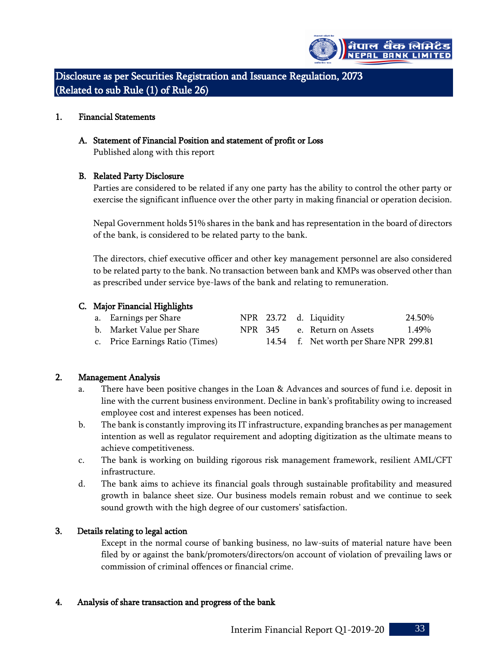

Disclosure as per Securities Registration and Issuance Regulation, 2073 (Related to sub Rule (1) of Rule 26)

#### 1. Financial Statements

#### A. Statement of Financial Position and statement of profit or Loss

Published along with this report

# B. Related Party Disclosure

Parties are considered to be related if any one party has the ability to control the other party or exercise the significant influence over the other party in making financial or operation decision.

Nepal Government holds 51% shares in the bank and has representation in the board of directors of the bank, is considered to be related party to the bank.

The directors, chief executive officer and other key management personnel are also considered to be related party to the bank. No transaction between bank and KMPs was observed other than as prescribed under service bye-laws of the bank and relating to remuneration.

# C. Major Financial Highlights

| a. Earnings per Share           |  | NPR 23.72 d. Liquidity                  | 24.50% |
|---------------------------------|--|-----------------------------------------|--------|
| b. Market Value per Share       |  | NPR 345 e. Return on Assets             | 1.49%  |
| c. Price Earnings Ratio (Times) |  | 14.54 f. Net worth per Share NPR 299.81 |        |

# 2. Management Analysis

- a. There have been positive changes in the Loan & Advances and sources of fund i.e. deposit in line with the current business environment. Decline in bank's profitability owing to increased employee cost and interest expenses has been noticed.
- b. The bank is constantly improving its IT infrastructure, expanding branches as per management intention as well as regulator requirement and adopting digitization as the ultimate means to achieve competitiveness.
- c. The bank is working on building rigorous risk management framework, resilient AML/CFT infrastructure.
- d. The bank aims to achieve its financial goals through sustainable profitability and measured growth in balance sheet size. Our business models remain robust and we continue to seek sound growth with the high degree of our customers' satisfaction.

# 3. Details relating to legal action

Except in the normal course of banking business, no law-suits of material nature have been filed by or against the bank/promoters/directors/on account of violation of prevailing laws or commission of criminal offences or financial crime.

#### 4. Analysis of share transaction and progress of the bank